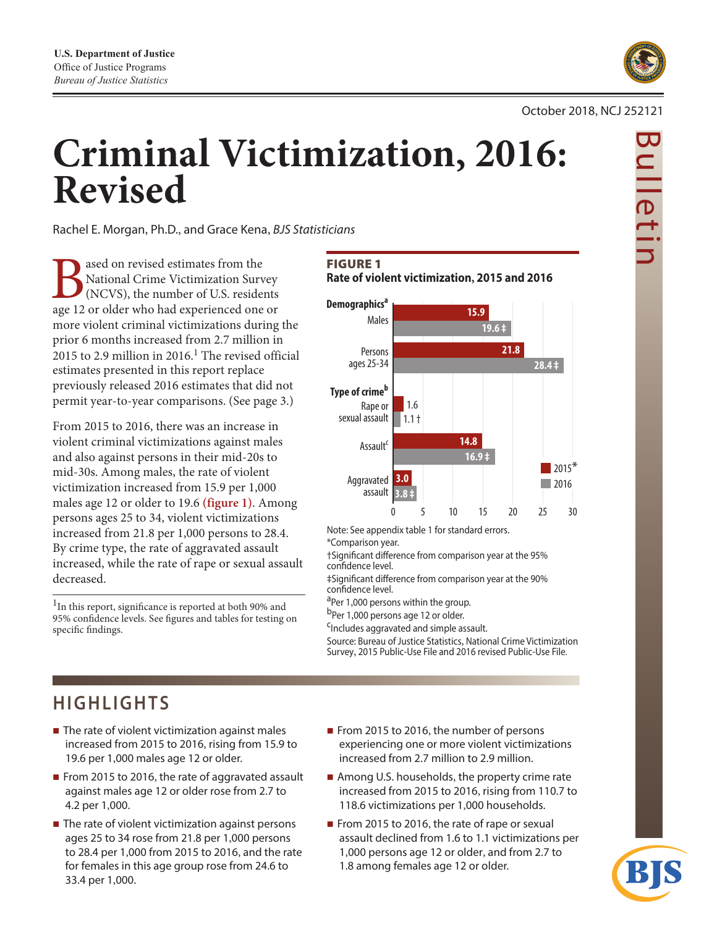

Bulletin

ulletir

# **Criminal Victimization, 2016: Revised**

Rachel E. Morgan, Ph.D., and Grace Kena, *BJS Statisticians* 

Based on revised estimates from the<br>
National Crime Victimization Survey<br>
(NCVS), the number of U.S. residents<br>
age 12 or older who had experienced one or National Crime Victimization Survey (NCVS), the number of U.S. residents more violent criminal victimizations during the prior 6 months increased from 2.7 million in 2015 to 2.9 million in 2016. $^1$  The revised official estimates presented in this report replace previously released 2016 estimates that did not permit year-to-year comparisons. (See page 3.)

From 2015 to 2016, there was an increase in violent criminal victimizations against males and also against persons in their mid-20s to mid-30s. Among males, the rate of violent victimization increased from 15.9 per 1,000 males age 12 or older to 19.6 **(figure 1)**. Among persons ages 25 to 34, violent victimizations increased from 21.8 per 1,000 persons to 28.4. By crime type, the rate of aggravated assault increased, while the rate of rape or sexual assault decreased.

<sup>1</sup>In this report, significance is reported at both 90% and 95% confdence levels. See fgures and tables for testing on specifc fndings.

#### FIGURE 1

**Rate of violent victimization, 2015 and 2016** 



Note: See appendix table 1 for standard errors.

\*Comparison year.

†Signifcant diference from comparison year at the 95% confdence level.

‡Signifcant diference from comparison year at the 90% confdence level.

<sup>a</sup> Per 1,000 persons within the group.<br><sup>b</sup> Per 1,000 persons age 12 or older.<br><sup>C</sup>Includes aggravated and simple assault.

Source: Bureau of Justice Statistics, National Crime Victimization Survey, 2015 Public-Use File and 2016 revised Public-Use File.

## **HIGHLIGHTS**

- The rate of violent victimization against males increased from 2015 to 2016, rising from 15.9 to 19.6 per 1,000 males age 12 or older.
- From 2015 to 2016, the rate of aggravated assault against males age 12 or older rose from 2.7 to 4.2 per 1,000.
- The rate of violent victimization against persons ages 25 to 34 rose from 21.8 per 1,000 persons to 28.4 per 1,000 from 2015 to 2016, and the rate for females in this age group rose from 24.6 to 33.4 per 1,000.
- From 2015 to 2016, the number of persons experiencing one or more violent victimizations increased from 2.7 million to 2.9 million.
- Among U.S. households, the property crime rate increased from 2015 to 2016, rising from 110.7 to 118.6 victimizations per 1,000 households.
- From 2015 to 2016, the rate of rape or sexual assault declined from 1.6 to 1.1 victimizations per 1,000 persons age 12 or older, and from 2.7 to 1.8 among females age 12 or older.

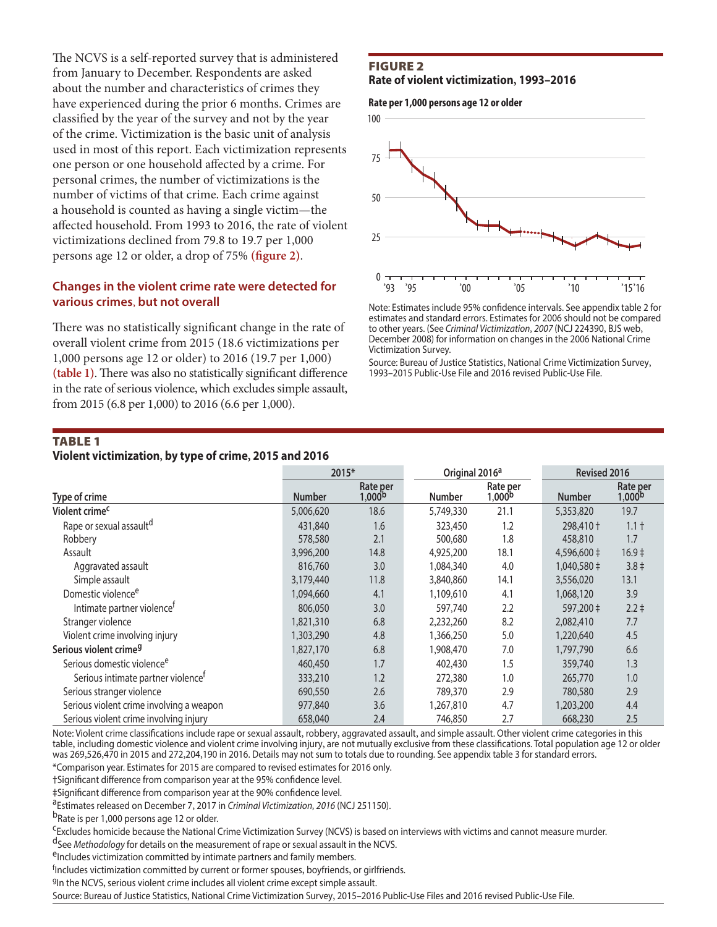The NCVS is a self-reported survey that is administered from January to December. Respondents are asked about the number and characteristics of crimes they have experienced during the prior 6 months. Crimes are classifed by the year of the survey and not by the year of the crime. Victimization is the basic unit of analysis used in most of this report. Each victimization represents one person or one household afected by a crime. For personal crimes, the number of victimizations is the number of victims of that crime. Each crime against a household is counted as having a single victim—the afected household. From 1993 to 2016, the rate of violent victimizations declined from 79.8 to 19.7 per 1,000 persons age 12 or older, a drop of 75% **(fgure 2)**.

#### **Changes in the violent crime rate were detected for various crimes**, **but not overall**

There was no statistically significant change in the rate of overall violent crime from 2015 (18.6 victimizations per 1,000 persons age 12 or older) to 2016 (19.7 per 1,000) (table 1). There was also no statistically significant difference in the rate of serious violence, which excludes simple assault, from 2015 (6.8 per 1,000) to 2016 (6.6 per 1,000).

#### FIGURE 2 **Rate of violent victimization, 1993–2016**





Note: Estimates include 95% confdence intervals. See appendix table 2 for estimates and standard errors. Estimates for 2006 should not be compared to other years. (See *Criminal Victimization, 2007* (NCJ 224390, BJS web, December 2008) for information on changes in the 2006 National Crime Victimization Survey.

Source: Bureau of Justice Statistics, National Crime Victimization Survey, 1993–2015 Public-Use File and 2016 revised Public-Use File.

#### TABLE 1

#### **Violent victimization, by type of crime, 2015 and 2016**

|                                                |               | 2015*                          |               | Original 2016 <sup>a</sup>     | <b>Revised 2016</b> |                                |
|------------------------------------------------|---------------|--------------------------------|---------------|--------------------------------|---------------------|--------------------------------|
| Type of crime                                  | <b>Number</b> | Rate per<br>1,000 <sup>b</sup> | <b>Number</b> | Rate per<br>1,000 <sup>b</sup> | <b>Number</b>       | Rate per<br>1,000 <sup>b</sup> |
| Violent crime <sup>c</sup>                     | 5,006,620     | 18.6                           | 5,749,330     | 21.1                           | 5,353,820           | 19.7                           |
| Rape or sexual assault <sup>d</sup>            | 431,840       | 1.6                            | 323,450       | 1.2                            | 298,410 +           | $1.1 +$                        |
| Robbery                                        | 578,580       | 2.1                            | 500,680       | 1.8                            | 458,810             | 1.7                            |
| Assault                                        | 3,996,200     | 14.8                           | 4,925,200     | 18.1                           | 4,596,600 ‡         | $16.9+$                        |
| Aggravated assault                             | 816,760       | 3.0                            | 1,084,340     | 4.0                            | $1,040,580 \pm$     | $3.8 \pm$                      |
| Simple assault                                 | 3,179,440     | 11.8                           | 3,840,860     | 14.1                           | 3,556,020           | 13.1                           |
| Domestic violence <sup>e</sup>                 | 1,094,660     | 4.1                            | 1,109,610     | 4.1                            | 1,068,120           | 3.9                            |
| Intimate partner violence <sup>t</sup>         | 806,050       | 3.0                            | 597,740       | 2.2                            | 597,200 $\pm$       | $2.2 +$                        |
| Stranger violence                              | 1,821,310     | 6.8                            | 2,232,260     | 8.2                            | 2,082,410           | 7.7                            |
| Violent crime involving injury                 | 1,303,290     | 4.8                            | 1,366,250     | 5.0                            | 1,220,640           | 4.5                            |
| Serious violent crime <sup>g</sup>             | 1,827,170     | 6.8                            | 1,908,470     | 7.0                            | 1,797,790           | 6.6                            |
| Serious domestic violence <sup>e</sup>         | 460,450       | 1.7                            | 402,430       | 1.5                            | 359,740             | 1.3                            |
| Serious intimate partner violence <sup>r</sup> | 333,210       | 1.2                            | 272,380       | 1.0                            | 265,770             | 1.0                            |
| Serious stranger violence                      | 690,550       | 2.6                            | 789,370       | 2.9                            | 780,580             | 2.9                            |
| Serious violent crime involving a weapon       | 977,840       | 3.6                            | 1,267,810     | 4.7                            | 1,203,200           | 4.4                            |
| Serious violent crime involving injury         | 658,040       | 2.4                            | 746,850       | 2.7                            | 668,230             | 2.5                            |

Note: Violent crime classifcations include rape or sexual assault, robbery, aggravated assault, and simple assault. Other violent crime categories in this table, including domestic violence and violent crime involving injury, are not mutually exclusive from these classifcations. Total population age 12 or older was 269,526,470 in 2015 and 272,204,190 in 2016. Details may not sum to totals due to rounding. See appendix table 3 for standard errors.

\*Comparison year. Estimates for 2015 are compared to revised estimates for 2016 only.

†Signifcant diference from comparison year at the 95% confdence level.

‡Significant difference from comparison year at the 90% confidence level.<br><sup>a</sup>Estimates released on December 7, 2017 in *Criminal Victimization*, 2016 (NCJ 251150).<br><sup>b</sup>Rate is per 1,000 persons age 12 or older.

<sup>C</sup>Excludes homicide because the National Crime Victimization Survey (NCVS) is based on interviews with victims and cannot measure murder.

d<sub>See</sub> *Methodology* for details on the measurement of rape or sexual assault in the NCVS.<br><sup>e</sup>Includes victimization committed by intimate partners and family members.

f Includes victimization committed by current or former spouses, boyfriends, or girlfriends.

<sup>9</sup>In the NCVS, serious violent crime includes all violent crime except simple assault.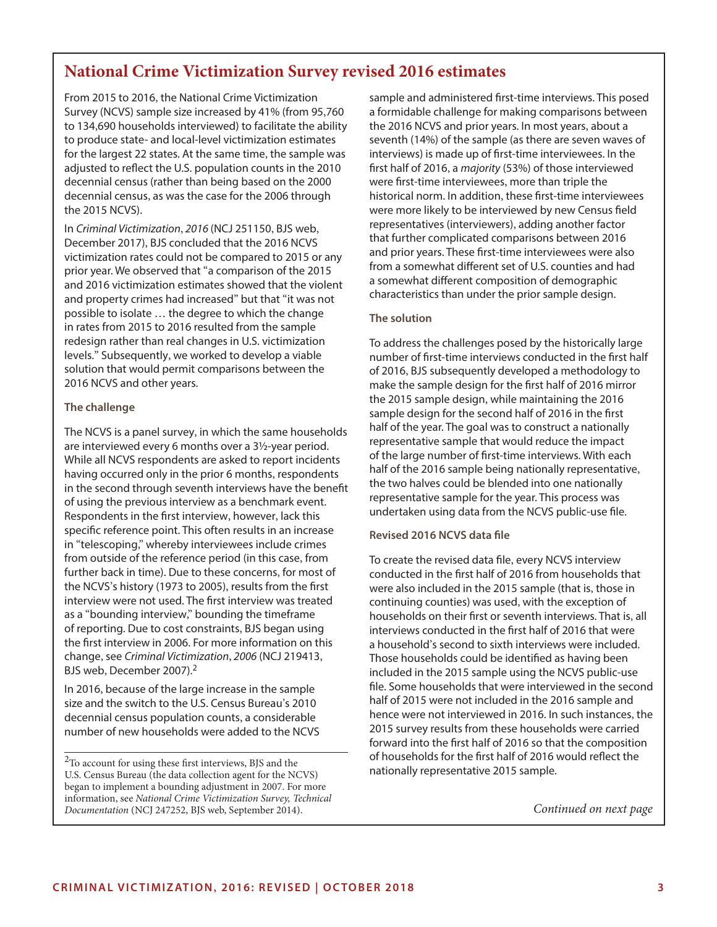### **National Crime Victimization Survey revised 2016 estimates**

From 2015 to 2016, the National Crime Victimization Survey (NCVS) sample size increased by 41% (from 95,760 to 134,690 households interviewed) to facilitate the ability to produce state- and local-level victimization estimates for the largest 22 states. At the same time, the sample was adjusted to refect the U.S. population counts in the 2010 decennial census (rather than being based on the 2000 decennial census, as was the case for the 2006 through the 2015 NCVS).

In *[Criminal Victimization](https://www.bjs.gov/content/pub/pdf/cv16.pdf)*, *2016* (NCJ 251150, BJS web, December 2017), BJS concluded that the 2016 NCVS victimization rates could not be compared to 2015 or any prior year. We observed that "a comparison of the 2015 and 2016 victimization estimates showed that the violent and property crimes had increased" but that "it was not possible to isolate … the degree to which the change in rates from 2015 to 2016 resulted from the sample redesign rather than real changes in U.S. victimization levels." Subsequently, we worked to develop a viable solution that would permit comparisons between the 2016 NCVS and other years.

#### **The challenge**

The NCVS is a panel survey, in which the same households are interviewed every 6 months over a 3½-year period. While all NCVS respondents are asked to report incidents having occurred only in the prior 6 months, respondents in the second through seventh interviews have the beneft of using the previous interview as a benchmark event. Respondents in the frst interview, however, lack this specifc reference point. This often results in an increase in "telescoping," whereby interviewees include crimes from outside of the reference period (in this case, from further back in time). Due to these concerns, for most of the NCVS's history (1973 to 2005), results from the frst interview were not used. The frst interview was treated as a "bounding interview," bounding the timeframe of reporting. Due to cost constraints, BJS began using the frst interview in 2006. For more information on this change, see *Criminal Victimization*, *2006* (NCJ 219413, BJS web, December 2007).2

In 2016, because of the large increase in the sample size and the switch to the U.S. Census Bureau's 2010 decennial census population counts, a considerable number of new households were added to the NCVS

<sup>2</sup>To account for using these first interviews, BJS and the U.S. Census Bureau (the data collection agent for the NCVS) began to implement a bounding adjustment in 2007. For more information, see *National Crime Victimization Survey, Technical Documentation* (NCJ 247252, BJS web, September 2014).

sample and administered frst-time interviews. This posed a formidable challenge for making comparisons between the 2016 NCVS and prior years. In most years, about a seventh (14%) of the sample (as there are seven waves of interviews) is made up of frst-time interviewees. In the frst half of 2016, a *majority* (53%) of those interviewed were frst-time interviewees, more than triple the historical norm. In addition, these frst-time interviewees were more likely to be interviewed by new Census feld representatives (interviewers), adding another factor that further complicated comparisons between 2016 and prior years. These frst-time interviewees were also from a somewhat diferent set of U.S. counties and had a somewhat diferent composition of demographic characteristics than under the prior sample design.

#### **The solution**

To address the challenges posed by the historically large number of frst-time interviews conducted in the frst half of 2016, BJS subsequently developed a methodology to make the sample design for the frst half of 2016 mirror the 2015 sample design, while maintaining the 2016 sample design for the second half of 2016 in the frst half of the year. The goal was to construct a nationally representative sample that would reduce the impact of the large number of frst-time interviews. With each half of the 2016 sample being nationally representative, the two halves could be blended into one nationally representative sample for the year. This process was undertaken using data from the NCVS public-use fle.

#### **Revised 2016 NCVS data fle**

To create the revised data fle, every NCVS interview conducted in the frst half of 2016 from households that were also included in the 2015 sample (that is, those in continuing counties) was used, with the exception of households on their frst or seventh interviews. That is, all interviews conducted in the frst half of 2016 that were a household's second to sixth interviews were included. Those households could be identifed as having been included in the 2015 sample using the NCVS public-use fle. Some households that were interviewed in the second half of 2015 were not included in the 2016 sample and hence were not interviewed in 2016. In such instances, the 2015 survey results from these households were carried forward into the frst half of 2016 so that the composition of households for the frst half of 2016 would refect the nationally representative 2015 sample.

*Continued on next page*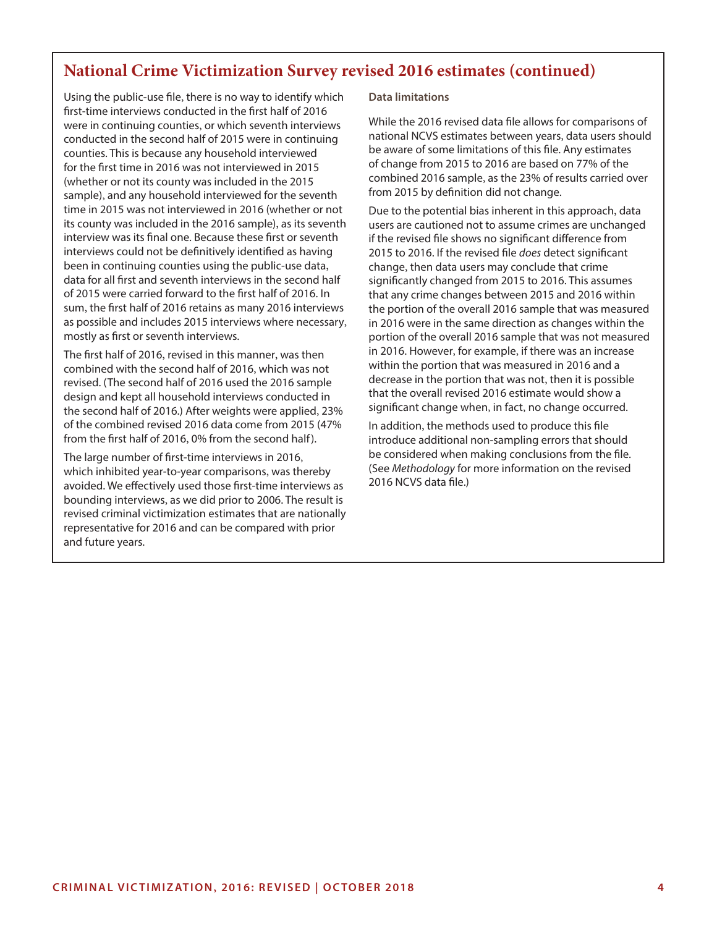### **National Crime Victimization Survey revised 2016 estimates (continued)**

Using the public-use fle, there is no way to identify which **Data limitations**  frst-time interviews conducted in the frst half of 2016 were in continuing counties, or which seventh interviews While the 2016 revised data file allows for comparisons of conducted in the second half of 2015 were in continuing national NCVS estimates between years, data users conducted in the second half of 2015 were in continuing<br>counties. This is because any household interviewed<br>for the first time in 2016 was not interviewed in 2015<br>of change from 2015 to 2016 are based on 77% of the (whether or not its county was included in the 2015 combined 2016 sample, as the 23% of results carried over sample), and any household interviewed for the seventh from 2015 by definition did not change. time in 2015 was not interviewed in 2016 (whether or not Due to the potential bias inherent in this approach, data<br>its county was included in the 2016 sample), as its seventh users are cautioned not to assume crimes are un its county was included in the 2016 sample), as its seventh users are cautioned not to assume crimes are unchanged<br>interview was its final one. Because these first or seventh if the revised file shows no significant differ interviews could not be defnitively identifed as having 2015 to 2016. If the revised fle *does* detect signifcant been in continuing counties using the public-use data, endinge, then data users may conclude that crime<br>data for all first and seventh interviews in the second half significantly changed from 2015 to 2016. This ass of 2015 were carried forward to the first half of 2016. In that any crime changes between 2015 and 2016 within<br>sum, the first half of 2016 retains as many 2016 interviews the portion of the overall 2016 sample that was mea as possible and includes 2015 interviews where necessary, in 2016 were in the same direction as changes within the mostly as frst or seventh interviews. portion of the overall 2016 sample that was not measured

combined with the second half of 2016, which was not within the portion that was measured in 2016 and a<br>revised (The second half of 2016 used the 2016 sample decrease in the portion that was not, then it is possible revised. (The second half of 2016 used the 2016 sample decrease in the portion that was not, then it is possible<br>design and kept all household interviews conducted in that the overall revised 2016 estimate would show a<br>the of the combined revised 2016 data come from 2015 (47% In addition, the methods used to produce this file<br>from the first half of 2016, 0% from the second half). Introduce additional non-sampling errors that sho

The large number of first-time interviews in 2016,<br>which inhibited year-to-year comparisons was thereby (See Methodology for more information on the revised which inhibited year-to-year comparisons, was thereby **the revise on the revised on the revised avoided.** We effectively used those first-time interviews as **2016 NCVS data file.**) bounding interviews, as we did prior to 2006. The result is revised criminal victimization estimates that are nationally representative for 2016 and can be compared with prior and future years.

if the revised file shows no significant difference from significantly changed from 2015 to 2016. This assumes the portion of the overall 2016 sample that was measured The first half of 2016, revised in this manner, was then in 2016. However, for example, if there was an increase combined with the second half of 2016 which was not within the portion that was measured in 2016 and a

introduce additional non-sampling errors that should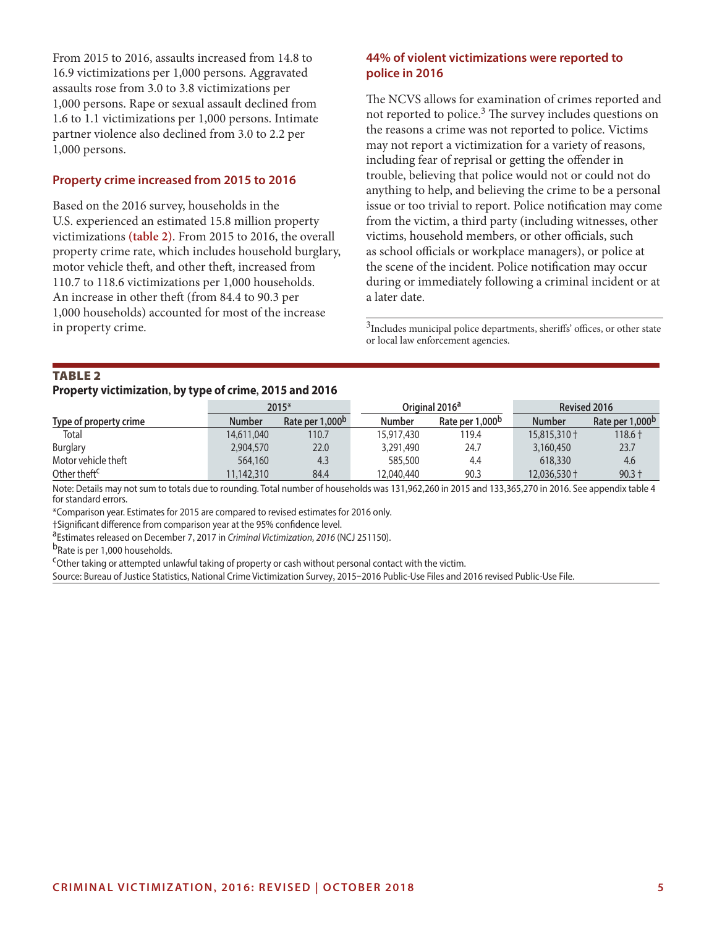From 2015 to 2016, assaults increased from 14.8 to **44% of violent victimizations were reported to**  16.9 victimizations per 1,000 persons. Aggravated assaults rose from 3.0 to 3.8 victimizations per 1,000 persons. Rape or sexual assault declined from 1.6 to 1.1 victimizations per 1,000 persons. Intimate partner violence also declined from 3.0 to 2.2 per 1,000 persons.

#### **Property crime increased from 2015 to 2016**

Based on the 2016 survey, households in the U.S. experienced an estimated 15.8 million property victimizations **(table 2)**. From 2015 to 2016, the overall property crime rate, which includes household burglary, motor vehicle thef, and other thef, increased from 110.7 to 118.6 victimizations per 1,000 households. An increase in other theft (from 84.4 to 90.3 per 1,000 households) accounted for most of the increase in property crime.

# **police in 2016**

The NCVS allows for examination of crimes reported and not reported to police.<sup>3</sup> The survey includes questions on the reasons a crime was not reported to police. Victims may not report a victimization for a variety of reasons, including fear of reprisal or getting the ofender in trouble, believing that police would not or could not do anything to help, and believing the crime to be a personal issue or too trivial to report. Police notifcation may come from the victim, a third party (including witnesses, other victims, household members, or other officials, such as school officials or workplace managers), or police at the scene of the incident. Police notifcation may occur during or immediately following a criminal incident or at a later date.

 $3$ Includes municipal police departments, sheriffs' offices, or other state or local law enforcement agencies.

#### TABLE 2 **Property victimization, by type of crime, 2015 and 2016**

|                          |               | 2015*                       | Original 2016 <sup>a</sup> |                             | Revised 2016  |                             |
|--------------------------|---------------|-----------------------------|----------------------------|-----------------------------|---------------|-----------------------------|
| Type of property crime   | <b>Number</b> | Rate per 1,000 <sup>b</sup> | Number                     | Rate per 1,000 <sup>b</sup> | <b>Number</b> | Rate per 1,000 <sup>b</sup> |
| Total                    | 14,611,040    | 110.7                       | 15,917,430                 | 19.4                        | 15,815,310 +  | 118.6 †                     |
| Burglary                 | 2,904,570     | 22.0                        | 3,291,490                  | 24.7                        | 3,160,450     | 23.7                        |
| Motor vehicle theft      | 564,160       | 4.3                         | 585,500                    | 4.4                         | 618,330       | 4.6                         |
| Other theft <sup>c</sup> | 11,142,310    | 84.4                        | 12,040,440                 | 90.3                        | 12,036,530 +  | $90.3 +$                    |

Note: Details may not sum to totals due to rounding. Total number of households was 131,962,260 in 2015 and 133,365,270 in 2016. See appendix table 4 for standard errors.

\*Comparison year. Estimates for 2015 are compared to revised estimates for 2016 only.

†Significant difference from comparison year at the 95% confidence level.<br><sup>a</sup>Estimates released on December 7, 2017 in *Criminal Victimization*, 2016 (NCJ 251150).<br><sup>b</sup>Rate is per 1,000 households.

COther taking or attempted unlawful taking of property or cash without personal contact with the victim.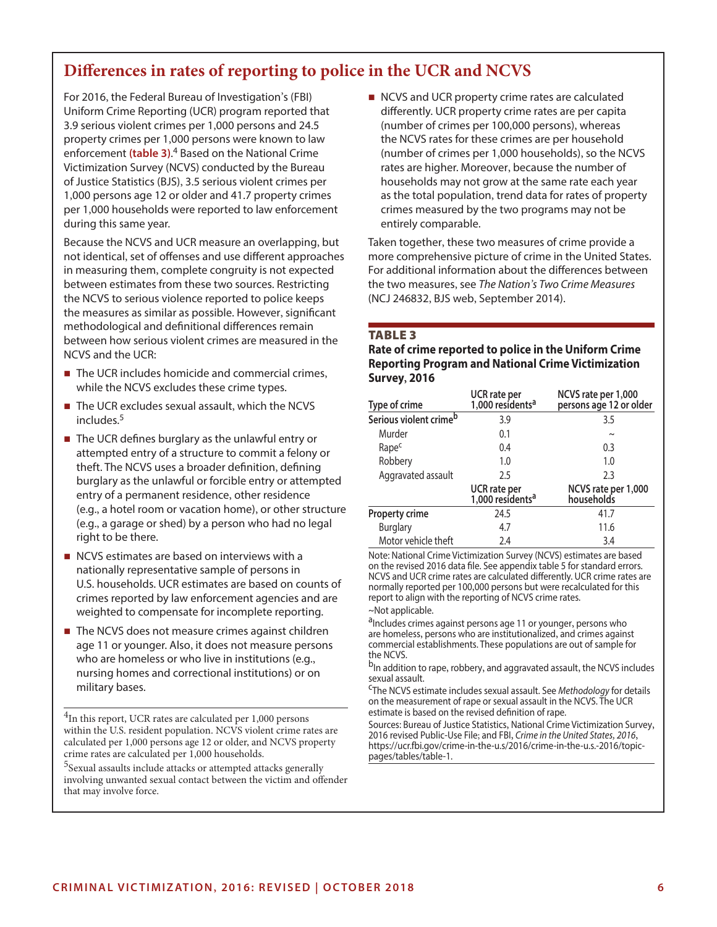### **Diferences in rates of reporting to police in the UCR and NCVS**

For 2016, the Federal Bureau of Investigation's (FBI) **NET ACTED INCVS** and UCR property crime rates are calculated Uniform Crime Reporting (UCR) program reported that differently. UCR property crime rates are per capita 3.9 serious violent crimes per 1,000 persons and 24.5 (number of crimes per 100,000 persons), whereas property crimes per 1,000 persons were known to law the NCVS rates for these crimes are per household enforcement **(table 3)**. Victimization Survey (NCVS) conducted by the Bureau rates are higher. Moreover, because the number of of Justice Statistics (BJS), 3.5 serious violent crimes per households may not grow at the same rate each year per 1,000 households were reported to law enforcement crimes measured by the two programs may not be during this same year. entirely comparable.

Because the NCVS and UCR measure an overlapping, but Taken together, these two measures of crime provide a between estimates from these two sources. Restricting the two measures, see *The Nation's Two Crime Measures*  the NCVS to serious violence reported to police keeps (NCJ 246832, BJS web, September 2014). the measures as similar as possible. However, signifcant methodological and definitional differences remain<br>between how serious violent crimes are measured in the **TABLE 3**<br>NCVS and the UCR: **Rate of crime reported to police in the Uniform Crime** 

- The UCR includes homicide and commercial crimes, **Survey, 2016** while the NCVS excludes these crime types.
- The UCR excludes sexual assault, which the NCVS
- (e.g., a hotel room or vacation home), or other structure (e.g., a garage or shed) by a person who had no legal<br>right to be there. right to be there. The same state of the motor vehicle theft and the same state of the same state of the same s
- NCVS estimates are based on interviews with a Note: National Crime Victimization Survey (NCVS) estimates are based crimes reported by law enforcement agencies and are weighted to compensate for incomplete reporting. Not applicable.
- who are homeless or who live in institutions (e.g.,  $h_{\text{in addition to rape, roobery, and aggregated assault, the NCVS includes}$ <br>him addition to rape, robbery, and aggravated assault, the NCVS includes sexual assault.<br>Fracture includes sexual assault.

<sup>4</sup>In this report, UCR rates are calculated per 1,000 persons<br>within the U.S. resident population. NCVS violent crime rates are<br>calculated per 1,000 persons age 12 or older, and NCVS property<br>crime rates are calculated per

involving unwanted sexual contact between the victim and ofender that may involve force.

(number of crimes per 1,000 households), so the NCVS 1,000 persons age 12 or older and 41.7 property crimes as the total population, trend data for rates of property

not identical, set of ofenses and use diferent approaches more comprehensive picture of crime in the United States. in measuring them, complete congruity is not expected For additional information about the differences between

# **Reporting Program and National Crime Victimization**

| while the NCVS excludes these crime types.<br>The UCR excludes sexual assault, which the NCVS | Type of crime                      | UCR rate per<br>1,000 residents <sup>a</sup> | NCVS rate per 1,000<br>persons age 12 or older |
|-----------------------------------------------------------------------------------------------|------------------------------------|----------------------------------------------|------------------------------------------------|
| includes. <sup>5</sup>                                                                        | Serious violent crime <sup>b</sup> | 3.9                                          | 3.5                                            |
| The UCR defines burglary as the unlawful entry or                                             | Murder                             | 0.1                                          | $\sim$                                         |
| attempted entry of a structure to commit a felony or                                          | Rape <sup>c</sup>                  | 0.4                                          | 0.3                                            |
| theft. The NCVS uses a broader definition, defining                                           | Robbery                            | 1.0                                          | 1.0                                            |
| burglary as the unlawful or forcible entry or attempted                                       | Aggravated assault                 | 2.5                                          | 2.3                                            |
| entry of a permanent residence, other residence                                               |                                    | UCR rate per<br>1,000 residents <sup>a</sup> | NCVS rate per 1,000<br>households              |
| (e.g., a hotel room or vacation home), or other structure                                     | <b>Property crime</b>              | 24.5                                         | 41.7                                           |
| (e.g., a garage or shed) by a person who had no legal                                         | Burglary                           | 4.7                                          | 11.6                                           |
| right to be there.                                                                            | Motor vehicle theft                | 74                                           | 34                                             |

nationally representative sample of persons in<br>U.S. households. UCR estimates are based on counts of<br>U.S. households. UCR estimates are based on counts of<br>crimes reported by law enforcement agencies and are<br>report to align

■ The NCVS does not measure crimes against children are homeless, persons who are institutionalized, and crimes against<br>age 11 or younger. Also, it does not measure persons commercial establishments. These populations are commercial establishments. These populations are out of sample for<br>the NCVS.

<sup>C</sup>The NCVS estimate includes sexual assault. See *Methodology* for details on the measurement of rape or sexual assault in the NCVS. The UCR estimate is based on the revised definition of rape.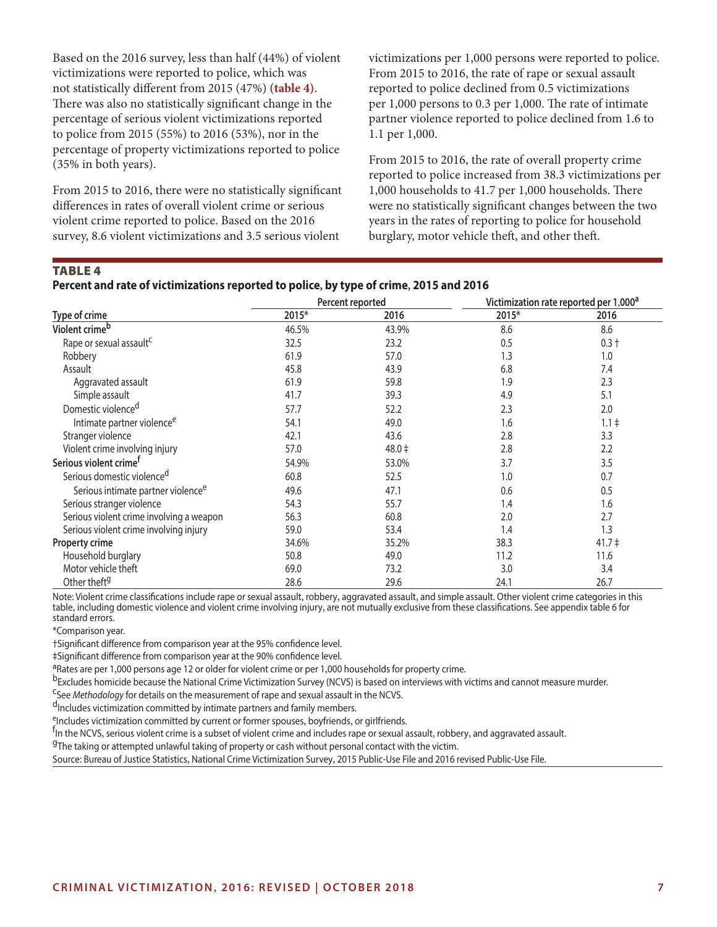Based on the 2016 survey, less than half (44%) of violent victimizations were reported to police, which was not statistically diferent from 2015 (47%) **(table 4)**. There was also no statistically significant change in the percentage of serious violent victimizations reported to police from 2015 (55%) to 2016 (53%), nor in the percentage of property victimizations reported to police (35% in both years).

From 2015 to 2016, there were no statistically signifcant diferences in rates of overall violent crime or serious violent crime reported to police. Based on the 2016 survey, 8.6 violent victimizations and 3.5 serious violent

victimizations per 1,000 persons were reported to police. From 2015 to 2016, the rate of rape or sexual assault reported to police declined from 0.5 victimizations per  $1,000$  persons to  $0.3$  per  $1,000$ . The rate of intimate partner violence reported to police declined from 1.6 to 1.1 per 1,000.

From 2015 to 2016, the rate of overall property crime reported to police increased from 38.3 victimizations per 1,000 households to 41.7 per 1,000 households. There were no statistically signifcant changes between the two years in the rates of reporting to police for household burglary, motor vehicle theft, and other theft.

#### TABLE 4

|                                                |       | Percent reported | Victimization rate reported per 1,000 <sup>a</sup> |            |  |
|------------------------------------------------|-------|------------------|----------------------------------------------------|------------|--|
| Type of crime                                  | 2015* | 2016             | $2015*$                                            | 2016       |  |
| Violent crime <sup>b</sup>                     | 46.5% | 43.9%            | 8.6                                                | 8.6        |  |
| Rape or sexual assault <sup>c</sup>            | 32.5  | 23.2             | 0.5                                                | $0.3 +$    |  |
| Robbery                                        | 61.9  | 57.0             | 1.3                                                | 1.0        |  |
| Assault                                        | 45.8  | 43.9             | 6.8                                                | 7.4        |  |
| Aggravated assault                             | 61.9  | 59.8             | 1.9                                                | 2.3        |  |
| Simple assault                                 | 41.7  | 39.3             | 4.9                                                | 5.1        |  |
| Domestic violence <sup>d</sup>                 | 57.7  | 52.2             | 2.3                                                | 2.0        |  |
| Intimate partner violence <sup>e</sup>         | 54.1  | 49.0             | 1.6                                                | $1.1 \pm$  |  |
| Stranger violence                              | 42.1  | 43.6             | 2.8                                                | 3.3        |  |
| Violent crime involving injury                 | 57.0  | $48.0 \pm$       | 2.8                                                | 2.2        |  |
| Serious violent crime <sup>f</sup>             | 54.9% | 53.0%            | 3.7                                                | 3.5        |  |
| Serious domestic violence <sup>d</sup>         | 60.8  | 52.5             | 1.0                                                | 0.7        |  |
| Serious intimate partner violence <sup>e</sup> | 49.6  | 47.1             | 0.6                                                | 0.5        |  |
| Serious stranger violence                      | 54.3  | 55.7             | 1.4                                                | 1.6        |  |
| Serious violent crime involving a weapon       | 56.3  | 60.8             | 2.0                                                | 2.7        |  |
| Serious violent crime involving injury         | 59.0  | 53.4             | 1.4                                                | 1.3        |  |
| <b>Property crime</b>                          | 34.6% | 35.2%            | 38.3                                               | $41.7 \pm$ |  |
| Household burglary                             | 50.8  | 49.0             | 11.2                                               | 11.6       |  |
| Motor vehicle theft                            | 69.0  | 73.2             | 3.0                                                | 3.4        |  |
| Other theft <sup>9</sup>                       | 28.6  | 29.6             | 24.1                                               | 26.7       |  |

Note: Violent crime classifcations include rape or sexual assault, robbery, aggravated assault, and simple assault. Other violent crime categories in this table, including domestic violence and violent crime involving injury, are not mutually exclusive from these classifcations. See appendix table 6 for standard errors.

\*Comparison year.

†Signifcant diference from comparison year at the 95% confdence level.

‡Significant difference from comparison year at the 90% confidence level.<br><sup>a</sup>Rates are per 1,000 persons age 12 or older for violent crime or per 1,000 households for property crime.

bExcludes homicide because the National Crime Victimization Survey (NCVS) is based on interviews with victims and cannot measure murder.

<sup>c</sup>See *Methodology* for details on the measurement of rape and sexual assault in the NCVS.<br><sup>d</sup>Includes victimization committed by intimate partners and family members.

eIncludes victimization committed by current or former spouses, boyfriends, or girlfriends.

<sup>f</sup>In the NCVS, serious violent crime is a subset of violent crime and includes rape or sexual assault, robbery, and aggravated assault.

 $9$ The taking or attempted unlawful taking of property or cash without personal contact with the victim.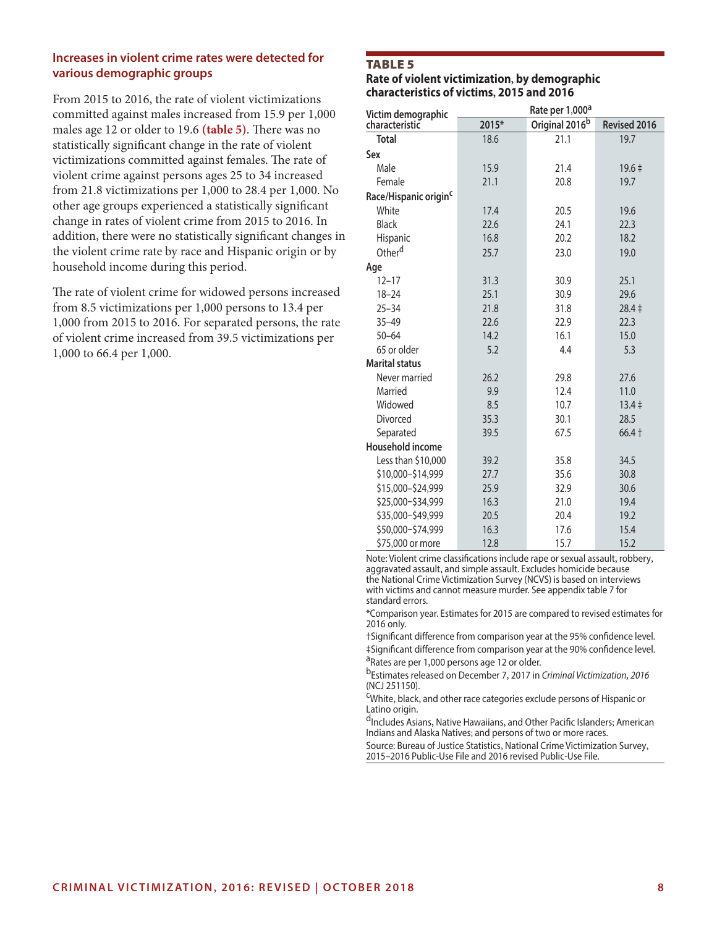#### **Increases in violent crime rates were detected for various demographic groups**

From 2015 to 2016, the rate of violent victimizations committed against males increased from 15.9 per 1,000 males age 12 or older to 19.6 (table 5). There was no statistically signifcant change in the rate of violent victimizations committed against females. The rate of violent crime against persons ages 25 to 34 increased from 21.8 victimizations per 1,000 to 28.4 per 1,000. No other age groups experienced a statistically signifcant change in rates of violent crime from 2015 to 2016. In addition, there were no statistically signifcant changes in the violent crime rate by race and Hispanic origin or by household income during this period.

The rate of violent crime for widowed persons increased from 8.5 victimizations per 1,000 persons to 13.4 per 1,000 from 2015 to 2016. For separated persons, the rate of violent crime increased from 39.5 victimizations per 1,000 to 66.4 per 1,000.

#### TABLE 5

#### **Rate of violent victimization, by demographic characteristics of victims, 2015 and 2016**

| Victim demographic                | Rate per 1,000 <sup>a</sup> |                            |              |  |  |  |  |
|-----------------------------------|-----------------------------|----------------------------|--------------|--|--|--|--|
| characteristic                    | 2015*                       | Original 2016 <sup>b</sup> | Revised 2016 |  |  |  |  |
| <b>Total</b>                      | 18.6                        | 21.1                       | 19.7         |  |  |  |  |
| Sex                               |                             |                            |              |  |  |  |  |
| Male                              | 15.9                        | 21.4                       | $19.6 \pm$   |  |  |  |  |
| Female                            | 21.1                        | 20.8                       | 19.7         |  |  |  |  |
| Race/Hispanic origin <sup>c</sup> |                             |                            |              |  |  |  |  |
| White                             | 17.4                        | 20.5                       | 19.6         |  |  |  |  |
| <b>Black</b>                      | 22.6                        | 24.1                       | 22.3         |  |  |  |  |
| Hispanic                          | 16.8                        | 20.2                       | 18.2         |  |  |  |  |
| Other <sup>d</sup>                | 25.7                        | 23.0                       | 19.0         |  |  |  |  |
| Age                               |                             |                            |              |  |  |  |  |
| $12 - 17$                         | 31.3                        | 30.9                       | 25.1         |  |  |  |  |
| $18 - 24$                         | 25.1                        | 30.9                       | 29.6         |  |  |  |  |
| $25 - 34$                         | 21.8                        | 31.8                       | $28.4 \pm$   |  |  |  |  |
| $35 - 49$                         | 22.6                        | 22.9                       | 22.3         |  |  |  |  |
| $50 - 64$                         | 14.2                        | 16.1                       | 15.0         |  |  |  |  |
| 65 or older                       | 5.2                         | 4.4                        | 5.3          |  |  |  |  |
| <b>Marital status</b>             |                             |                            |              |  |  |  |  |
| Never married                     | 26.2                        | 29.8                       | 27.6         |  |  |  |  |
| Married                           | 9.9                         | 12.4                       | 11.0         |  |  |  |  |
| Widowed                           | 8.5                         | 10.7                       | $13.4 \pm$   |  |  |  |  |
| Divorced                          | 35.3                        | 30.1                       | 28.5         |  |  |  |  |
| Separated                         | 39.5                        | 67.5                       | $66.4 +$     |  |  |  |  |
| Household income                  |                             |                            |              |  |  |  |  |
| Less than \$10,000                | 39.2                        | 35.8                       | 34.5         |  |  |  |  |
| \$10,000-\$14,999                 | 27.7                        | 35.6                       | 30.8         |  |  |  |  |
| \$15,000-\$24,999                 | 25.9                        | 32.9                       | 30.6         |  |  |  |  |
| \$25,000-\$34,999                 | 16.3                        | 21.0                       | 19.4         |  |  |  |  |
| \$35,000-\$49,999                 | 20.5                        | 20.4                       | 19.2         |  |  |  |  |
| \$50,000-\$74,999                 | 16.3                        | 17.6                       | 15.4         |  |  |  |  |
| \$75,000 or more                  | 12.8                        | 15.7                       | 15.2         |  |  |  |  |

Note: Violent crime classifcations include rape or sexual assault, robbery, aggravated assault, and simple assault. Excludes homicide because the National Crime Victimization Survey (NCVS) is based on interviews with victims and cannot measure murder. See appendix table 7 for standard errors.

\*Comparison year. Estimates for 2015 are compared to revised estimates for 2016 only.

†Signifcant diference from comparison year at the 95% confdence level. ‡Signifcant diference from comparison year at the 90% confdence level. aRates are per 1,000 persons age 12 or older. bEstimates released on December 7, 2017 in *Criminal Victimization,<sup>2016</sup>*

(NCJ 251150).

<sup>C</sup>White, black, and other race categories exclude persons of Hispanic or Latino origin.

dIncludes Asians, Native Hawaiians, and Other Pacific Islanders; American Indians and Alaska Natives; and persons of two or more races.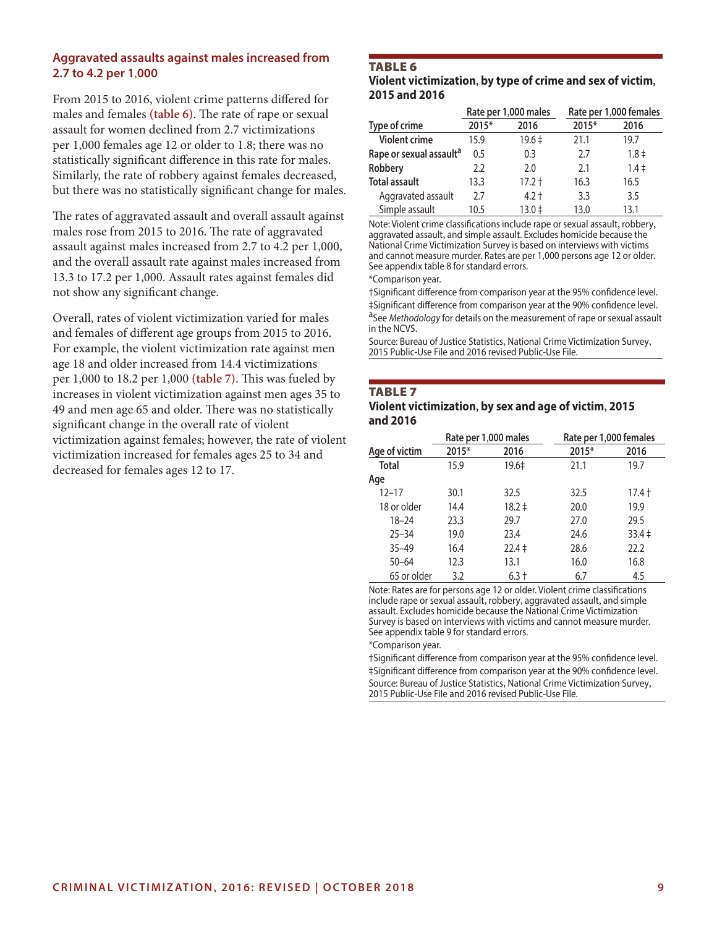#### **Aggravated assaults against males increased from 2.7 to 4.2 per 1**,**000**

From 2015 to 2016, violent crime patterns difered for males and females (table 6). The rate of rape or sexual assault for women declined from 2.7 victimizations per 1,000 females age 12 or older to 1.8; there was no statistically signifcant diference in this rate for males. Similarly, the rate of robbery against females decreased, but there was no statistically signifcant change for males.

The rates of aggravated assault and overall assault against males rose from 2015 to 2016. The rate of aggravated assault against males increased from 2.7 to 4.2 per 1,000, and the overall assault rate against males increased from 13.3 to 17.2 per 1,000. Assault rates against females did not show any signifcant change.

Overall, rates of violent victimization varied for males and females of diferent age groups from 2015 to 2016. For example, the violent victimization rate against men age 18 and older increased from 14.4 victimizations per 1,000 to 18.2 per 1,000 **(table 7)**. Tis was fueled by increases in violent victimization against men ages 35 to 49 and men age 65 and older. There was no statistically signifcant change in the overall rate of violent victimization against females; however, the rate of violent victimization increased for females ages 25 to 34 and decreased for females ages 12 to 17.

#### TABLE 6

#### **Violent victimization, by type of crime and sex of victim, 2015 and 2016**

|                                     |       | Rate per 1,000 males |       | Rate per 1,000 females |
|-------------------------------------|-------|----------------------|-------|------------------------|
| Type of crime                       | 2015* | 2016                 | 2015* | 2016                   |
| <b>Violent crime</b>                | 15.9  | $19.6 \pm$           | 21.1  | 19.7                   |
| Rape or sexual assault <sup>a</sup> | 0.5   | 0.3                  | 2.7   | $1.8 \pm$              |
| Robbery                             | 2.2   | 2.0                  | 2.1   | $1.4 \pm$              |
| <b>Total assault</b>                | 13.3  | $17.2 +$             | 16.3  | 16.5                   |
| Aggravated assault                  | 2.7   | $4.2 +$              | 3.3   | 3.5                    |
| Simple assault                      | 10.5  | $13.0 \pm$           | 13.0  | 13.1                   |

Note: Violent crime classifcations include rape or sexual assault, robbery, aggravated assault, and simple assault. Excludes homicide because the National Crime Victimization Survey is based on interviews with victims and cannot measure murder. Rates are per 1,000 persons age 12 or older. See appendix table 8 for standard errors.

\*Comparison year.

†Signifcant diference from comparison year at the 95% confdence level. ‡Significant difference from comparison year at the 90% confidence level.<br><sup>a</sup>See *Methodology* for details on the measurement of rape or sexual assault in the NCVS.

Source: Bureau of Justice Statistics, National Crime Victimization Survey, 2015 Public-Use File and 2016 revised Public-Use File.

#### TABLE 7

#### **Violent victimization, by sex and age of victim, 2015 and 2016**

| Rate per 1,000 males |            |       |                        |  |
|----------------------|------------|-------|------------------------|--|
| 2015*                | 2016       | 2015* | 2016                   |  |
| 15.9                 | 19.6‡      | 21.1  | 19.7                   |  |
|                      |            |       |                        |  |
| 30.1                 | 32.5       | 32.5  | $17.4 +$               |  |
| 14.4                 | $18.2 \pm$ | 20.0  | 19.9                   |  |
| 23.3                 | 29.7       | 27.0  | 29.5                   |  |
| 19.0                 | 23.4       | 24.6  | $33.4 \pm$             |  |
| 16.4                 | $22.4 \pm$ | 28.6  | 22.2                   |  |
| 12.3                 | 13.1       | 16.0  | 16.8                   |  |
| 3.2                  | $6.3 +$    | 6.7   | 4.5                    |  |
|                      |            |       | Rate per 1,000 females |  |

Note: Rates are for persons age 12 or older. Violent crime classifcations include rape or sexual assault, robbery, aggravated assault, and simple assault. Excludes homicide because the National Crime Victimization Survey is based on interviews with victims and cannot measure murder. See appendix table 9 for standard errors.

\*Comparison year.

†Signifcant diference from comparison year at the 95% confdence level. ‡Signifcant diference from comparison year at the 90% confdence level. Source: Bureau of Justice Statistics, National Crime Victimization Survey, 2015 Public-Use File and 2016 revised Public-Use File.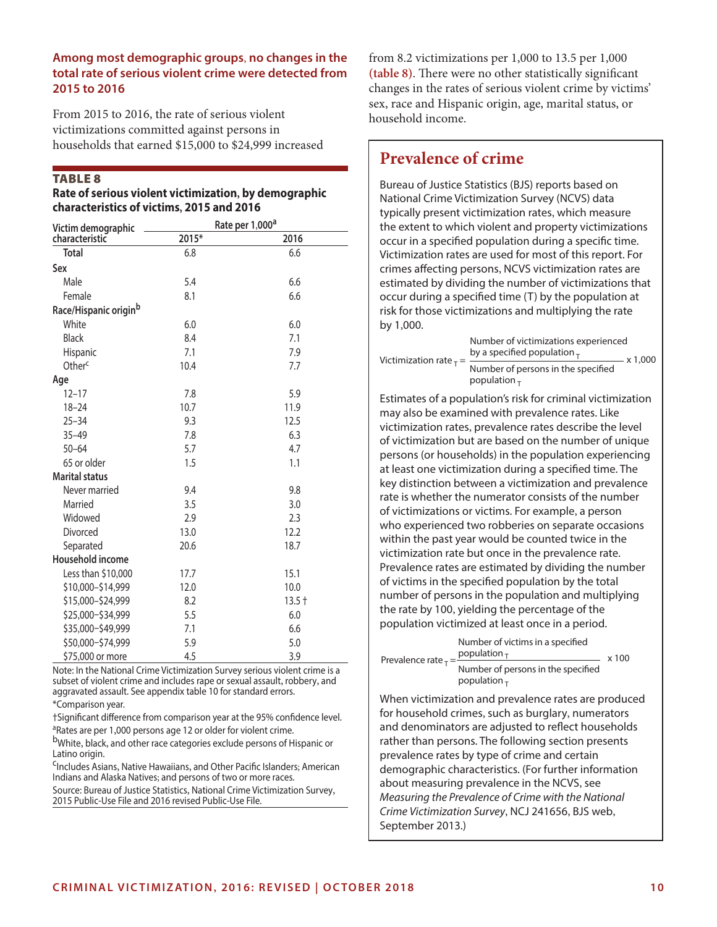#### **Among most demographic groups**, **no changes in the total rate of serious violent crime were detected from 2015 to 2016**

From 2015 to 2016, the rate of serious violent victimizations committed against persons in households that earned \$15,000 to \$24,999 increased

#### TABLE 8

| Rate of serious violent victimization, by demographic |
|-------------------------------------------------------|
| characteristics of victims, 2015 and 2016             |

|                                      | Rate per 1,000 <sup>a</sup> |          |  |  |  |
|--------------------------------------|-----------------------------|----------|--|--|--|
| Victim demographic<br>characteristic | 2015*                       | 2016     |  |  |  |
| <b>Total</b>                         | 6.8                         | 6.6      |  |  |  |
| Sex                                  |                             |          |  |  |  |
| Male                                 | 5.4                         | 6.6      |  |  |  |
| Female                               | 8.1                         | 6.6      |  |  |  |
| Race/Hispanic origin <sup>b</sup>    |                             |          |  |  |  |
| White                                | 6.0                         | 6.0      |  |  |  |
| Black                                | 8.4                         | 7.1      |  |  |  |
| <b>Hispanic</b>                      | 7.1                         | 7.9      |  |  |  |
| Other <sup>c</sup>                   | 10.4                        | 7.7      |  |  |  |
| Age                                  |                             |          |  |  |  |
| $12 - 17$                            | 7.8                         | 5.9      |  |  |  |
| $18 - 24$                            | 10.7                        | 11.9     |  |  |  |
| $25 - 34$                            | 9.3                         | 12.5     |  |  |  |
| $35 - 49$                            | 7.8                         | 6.3      |  |  |  |
| $50 - 64$                            | 5.7                         | 4.7      |  |  |  |
| 65 or older                          | 1.5                         | 1.1      |  |  |  |
| <b>Marital status</b>                |                             |          |  |  |  |
| Never married                        | 9.4                         | 9.8      |  |  |  |
| Married                              | 3.5                         | 3.0      |  |  |  |
| Widowed                              | 2.9                         | 2.3      |  |  |  |
| Divorced                             | 13.0                        | 12.2     |  |  |  |
| Separated                            | 20.6                        | 18.7     |  |  |  |
| Household income                     |                             |          |  |  |  |
| Less than \$10,000                   | 17.7                        | 15.1     |  |  |  |
| \$10,000-\$14,999                    | 12.0                        | 10.0     |  |  |  |
| \$15,000-\$24,999                    | 8.2                         | $13.5 +$ |  |  |  |
| \$25,000-\$34,999                    | 5.5                         | 6.0      |  |  |  |
| \$35,000-\$49,999                    | 7.1                         | 6.6      |  |  |  |
| \$50,000-\$74,999                    | 5.9                         | 5.0      |  |  |  |
| \$75,000 or more                     | 4.5                         | 3.9      |  |  |  |

Note: In the National Crime Victimization Survey serious violent crime is a subset of violent crime and includes rape or sexual assault, robbery, and aggravated assault. See appendix table 10 for standard errors.

\*Comparison year.

†Significant difference from comparison year at the 95% confidence level.<br><sup>a</sup>Rates are per 1,000 persons age 12 or older for violent crime.<br><sup>b</sup>White, black, and other race categories exclude persons of Hispanic or

Latino origin.

<sup>C</sup>Includes Asians, Native Hawaiians, and Other Pacific Islanders; American Indians and Alaska Natives; and persons of two or more races.

Source: Bureau of Justice Statistics, National Crime Victimization Survey, 2015 Public-Use File and 2016 revised Public-Use File.

from 8.2 victimizations per 1,000 to 13.5 per 1,000 **(table 8).** There were no other statistically significant changes in the rates of serious violent crime by victims' sex, race and Hispanic origin, age, marital status, or household income.

#### **Prevalence of crime**

Bureau of Justice Statistics (BJS) reports based on National Crime Victimization Survey (NCVS) data typically present victimization rates, which measure the extent to which violent and property victimizations occur in a specifed population during a specifc time. Victimization rates are used for most of this report. For crimes afecting persons, NCVS victimization rates are estimated by dividing the number of victimizations that occur during a specifed time (T) by the population at risk for those victimizations and multiplying the rate by 1,000.



 Number of victimizations experienced Victimization rate  $T = \frac{b_y}{2}$  is specified population  $T = x 1,000$  Number of persons in the specifed population $_T$ 

Estimates of a population's risk for criminal victimization may also be examined with prevalence rates. Like victimization rates, prevalence rates describe the level of victimization but are based on the number of unique persons (or households) in the population experiencing at least one victimization during a specifed time. The key distinction between a victimization and prevalence rate is whether the numerator consists of the number of victimizations or victims. For example, a person who experienced two robberies on separate occasions within the past year would be counted twice in the victimization rate but once in the prevalence rate. Prevalence rates are estimated by dividing the number of victims in the specifed population by the total number of persons in the population and multiplying the rate by 100, yielding the percentage of the population victimized at least once in a period.

| Prevalence rate $\frac{1}{T} = \frac{population}{T}$ | Number of victims in a specified                        | x 100 |
|------------------------------------------------------|---------------------------------------------------------|-------|
|                                                      | Number of persons in the specified<br>population $\tau$ |       |

When victimization and prevalence rates are produced for household crimes, such as burglary, numerators and denominators are adjusted to refect households rather than persons. The following section presents prevalence rates by type of crime and certain demographic characteristics. (For further information about measuring prevalence in the NCVS, see *Measuring the Prevalence of Crime with the National Crime Victimization Survey*, NCJ 241656, BJS web, September 2013.)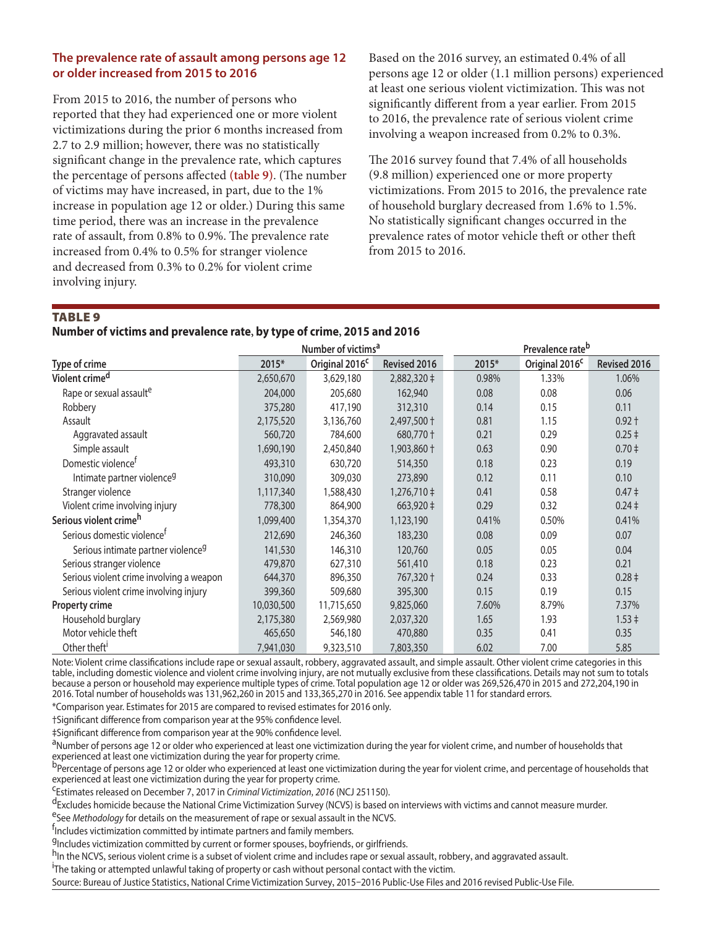#### **The prevalence rate of assault among persons age 12 or older increased from 2015 to 2016**

From 2015 to 2016, the number of persons who reported that they had experienced one or more violent victimizations during the prior 6 months increased from 2.7 to 2.9 million; however, there was no statistically signifcant change in the prevalence rate, which captures the percentage of persons affected (table 9). (The number of victims may have increased, in part, due to the 1% increase in population age 12 or older.) During this same time period, there was an increase in the prevalence rate of assault, from 0.8% to 0.9%. The prevalence rate increased from 0.4% to 0.5% for stranger violence and decreased from 0.3% to 0.2% for violent crime involving injury.

Based on the 2016 survey, an estimated 0.4% of all persons age 12 or older (1.1 million persons) experienced at least one serious violent victimization. This was not signifcantly diferent from a year earlier. From 2015 to 2016, the prevalence rate of serious violent crime involving a weapon increased from 0.2% to 0.3%.

The 2016 survey found that 7.4% of all households (9.8 million) experienced one or more property victimizations. From 2015 to 2016, the prevalence rate of household burglary decreased from 1.6% to 1.5%. No statistically signifcant changes occurred in the prevalence rates of motor vehicle theft or other theft from 2015 to 2016.

#### TABLE 9

#### **Number of victims and prevalence rate, by type of crime, 2015 and 2016**

|                                                | Number of victims <sup>a</sup> |                            |                      | Prevalence rate <sup>b</sup> |                            |              |  |
|------------------------------------------------|--------------------------------|----------------------------|----------------------|------------------------------|----------------------------|--------------|--|
| Type of crime                                  | 2015*                          | Original 2016 <sup>c</sup> | Revised 2016         | 2015*                        | Original 2016 <sup>c</sup> | Revised 2016 |  |
| Violent crime <sup>d</sup>                     | 2,650,670                      | 3,629,180                  | 2,882,320 ‡          | 0.98%                        | 1.33%                      | 1.06%        |  |
| Rape or sexual assault <sup>e</sup>            | 204,000                        | 205,680                    | 162,940              | 0.08                         | 0.08                       | 0.06         |  |
| Robbery                                        | 375,280                        | 417,190                    | 312,310              | 0.14                         | 0.15                       | 0.11         |  |
| Assault                                        | 2,175,520                      | 3,136,760                  | 2,497,500 +          | 0.81                         | 1.15                       | $0.92 +$     |  |
| Aggravated assault                             | 560,720                        | 784,600                    | 680,770 +            | 0.21                         | 0.29                       | $0.25 \pm$   |  |
| Simple assault                                 | 1,690,190                      | 2,450,840                  | 1,903,860 +          | 0.63                         | 0.90                       | $0.70 \pm$   |  |
| Domestic violence <sup>f</sup>                 | 493,310                        | 630,720                    | 514,350              | 0.18                         | 0.23                       | 0.19         |  |
| Intimate partner violence <sup>9</sup>         | 310,090                        | 309,030                    | 273,890              | 0.12                         | 0.11                       | 0.10         |  |
| Stranger violence                              | 1,117,340                      | 1,588,430                  | $1,276,710 \ddagger$ | 0.41                         | 0.58                       | $0.47 \pm$   |  |
| Violent crime involving injury                 | 778,300                        | 864,900                    | 663,920 ‡            | 0.29                         | 0.32                       | $0.24 \pm$   |  |
| Serious violent crime <sup>h</sup>             | 1,099,400                      | 1,354,370                  | 1,123,190            | 0.41%                        | 0.50%                      | 0.41%        |  |
| Serious domestic violence <sup>r</sup>         | 212,690                        | 246,360                    | 183,230              | 0.08                         | 0.09                       | 0.07         |  |
| Serious intimate partner violence <sup>g</sup> | 141,530                        | 146,310                    | 120,760              | 0.05                         | 0.05                       | 0.04         |  |
| Serious stranger violence                      | 479,870                        | 627,310                    | 561,410              | 0.18                         | 0.23                       | 0.21         |  |
| Serious violent crime involving a weapon       | 644,370                        | 896,350                    | 767,320 +            | 0.24                         | 0.33                       | $0.28 \pm$   |  |
| Serious violent crime involving injury         | 399,360                        | 509,680                    | 395,300              | 0.15                         | 0.19                       | 0.15         |  |
| Property crime                                 | 10,030,500                     | 11,715,650                 | 9,825,060            | 7.60%                        | 8.79%                      | 7.37%        |  |
| Household burglary                             | 2,175,380                      | 2,569,980                  | 2,037,320            | 1.65                         | 1.93                       | $1.53 \pm$   |  |
| Motor vehicle theft                            | 465,650                        | 546,180                    | 470,880              | 0.35                         | 0.41                       | 0.35         |  |
| Other theft <sup>i</sup>                       | 7,941,030                      | 9,323,510                  | 7,803,350            | 6.02                         | 7.00                       | 5.85         |  |

Note: Violent crime classifcations include rape or sexual assault, robbery, aggravated assault, and simple assault. Other violent crime categories in this table, including domestic violence and violent crime involving injury, are not mutually exclusive from these classifcations. Details may not sum to totals because a person or household may experience multiple types of crime. Total population age 12 or older was 269,526,470 in 2015 and 272,204,190 in 2016. Total number of households was 131,962,260 in 2015 and 133,365,270 in 2016. See appendix table 11 for standard errors.

\*Comparison year. Estimates for 2015 are compared to revised estimates for 2016 only.

†Signifcant diference from comparison year at the 95% confdence level.

‡Significant difference from comparison year at the 90% confidence level.<br><sup>a</sup>Number of persons age 12 or older who experienced at least one victimization during the year for violent crime, and number of households that experienced at least one victimization during the year for property crime.

<sup>b</sup>Percentage of persons age 12 or older who experienced at least one victimization during the year for violent crime, and percentage of households that experienced at least one victimization during the year for property crime.

cEstimates released on December 7, 2017 in *Criminal Victimization, 2016* (NCJ 251150).

d<sub>Excludes homicide because the National Crime Victimization Survey (NCVS) is based on interviews with victims and cannot measure murder.</sub>

<sup>e</sup>See *Methodology* for details on the measurement of rape or sexual assault in the NCVS.

<sup>f</sup>Includes victimization committed by intimate partners and family members.

 $\frac{q_{\text{Includes}}}{r_{\text{Includes}}}$  victimization committed by current or former spouses, boyfriends, or girlfriends.<br>https://www.assault.com/sissault.com/sissault, robbery, and an includes rape or sexual assault, robbery, and aggra

The taking or attempted unlawful taking of property or cash without personal contact with the victim.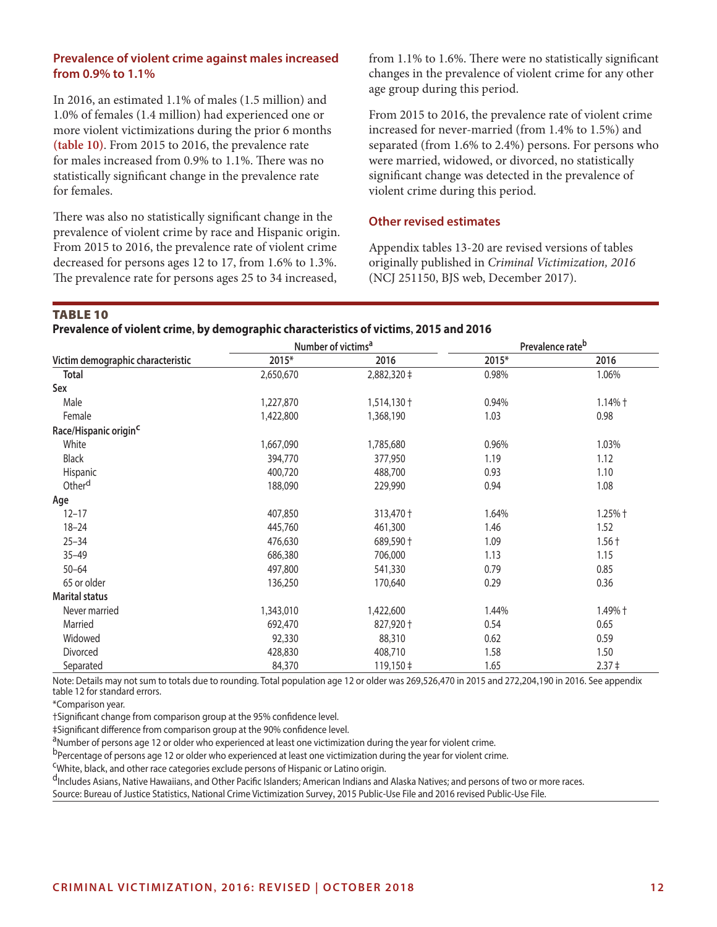#### **Prevalence of violent crime against males increased from 0.9% to 1.1%**

In 2016, an estimated 1.1% of males (1.5 million) and 1.0% of females (1.4 million) had experienced one or more violent victimizations during the prior 6 months **(table 10)**. From 2015 to 2016, the prevalence rate for males increased from 0.9% to 1.1%. There was no statistically signifcant change in the prevalence rate for females.

There was also no statistically significant change in the prevalence of violent crime by race and Hispanic origin. From 2015 to 2016, the prevalence rate of violent crime decreased for persons ages 12 to 17, from 1.6% to 1.3%. The prevalence rate for persons ages 25 to 34 increased,

from  $1.1\%$  to  $1.6\%$ . There were no statistically significant changes in the prevalence of violent crime for any other age group during this period.

From 2015 to 2016, the prevalence rate of violent crime increased for never-married (from 1.4% to 1.5%) and separated (from 1.6% to 2.4%) persons. For persons who were married, widowed, or divorced, no statistically signifcant change was detected in the prevalence of violent crime during this period.

#### **Other revised estimates**

Appendix tables 13-20 are revised versions of tables originally published in *Criminal Victimization, 2016*  (NCJ 251150, BJS web, December 2017).

#### TABLE 10

#### **Prevalence of violent crime, by demographic characteristics of victims, 2015 and 2016**

|                                   |           | Number of victims <sup>a</sup> | Prevalence rate <sup>b</sup> |            |  |
|-----------------------------------|-----------|--------------------------------|------------------------------|------------|--|
| Victim demographic characteristic | $2015*$   | 2016                           | 2015*                        | 2016       |  |
| <b>Total</b>                      | 2,650,670 | 2,882,320 ‡                    | 0.98%                        | 1.06%      |  |
| Sex                               |           |                                |                              |            |  |
| Male                              | 1,227,870 | $1,514,130$ †                  | 0.94%                        | $1.14%$ †  |  |
| Female                            | 1,422,800 | 1,368,190                      | 1.03                         | 0.98       |  |
| Race/Hispanic origin <sup>c</sup> |           |                                |                              |            |  |
| White                             | 1,667,090 | 1,785,680                      | 0.96%                        | 1.03%      |  |
| <b>Black</b>                      | 394,770   | 377,950                        | 1.19                         | 1.12       |  |
| Hispanic                          | 400,720   | 488,700                        | 0.93                         | 1.10       |  |
| Otherd                            | 188,090   | 229,990                        | 0.94                         | 1.08       |  |
| Age                               |           |                                |                              |            |  |
| $12 - 17$                         | 407,850   | 313,470 +                      | 1.64%                        | 1.25% +    |  |
| $18 - 24$                         | 445,760   | 461,300                        | 1.46                         | 1.52       |  |
| $25 - 34$                         | 476,630   | 689,590 +                      | 1.09                         | $1.56 +$   |  |
| $35 - 49$                         | 686,380   | 706,000                        | 1.13                         | 1.15       |  |
| $50 - 64$                         | 497,800   | 541,330                        | 0.79                         | 0.85       |  |
| 65 or older                       | 136,250   | 170,640                        | 0.29                         | 0.36       |  |
| <b>Marital status</b>             |           |                                |                              |            |  |
| Never married                     | 1,343,010 | 1,422,600                      | 1.44%                        | 1.49% +    |  |
| Married                           | 692,470   | 827,920 +                      | 0.54                         | 0.65       |  |
| Widowed                           | 92,330    | 88,310                         | 0.62                         | 0.59       |  |
| Divorced                          | 428,830   | 408,710                        | 1.58                         | 1.50       |  |
| Separated                         | 84,370    | $119,150 \pm$                  | 1.65                         | $2.37 \pm$ |  |

Note: Details may not sum to totals due to rounding. Total population age 12 or older was 269,526,470 in 2015 and 272,204,190 in 2016. See appendix table 12 for standard errors.

\*Comparison year.

†Signifcant change from comparison group at the 95% confdence level.

‡Significant difference from comparison group at the 90% confidence level.<br><sup>a</sup>Number of persons age 12 or older who experienced at least one victimization during the year for violent crime.

b<sub>Percentage of persons age 12 or older who experienced at least one victimization during the year for violent crime.</sub>

<sup>c</sup>White, black, and other race categories exclude persons of Hispanic or Latino origin.<br><sup>d</sup>Includes Asians, Native Hawaiians, and Other Pacific Islanders; American Indians and Alaska Natives; and persons of two or more ra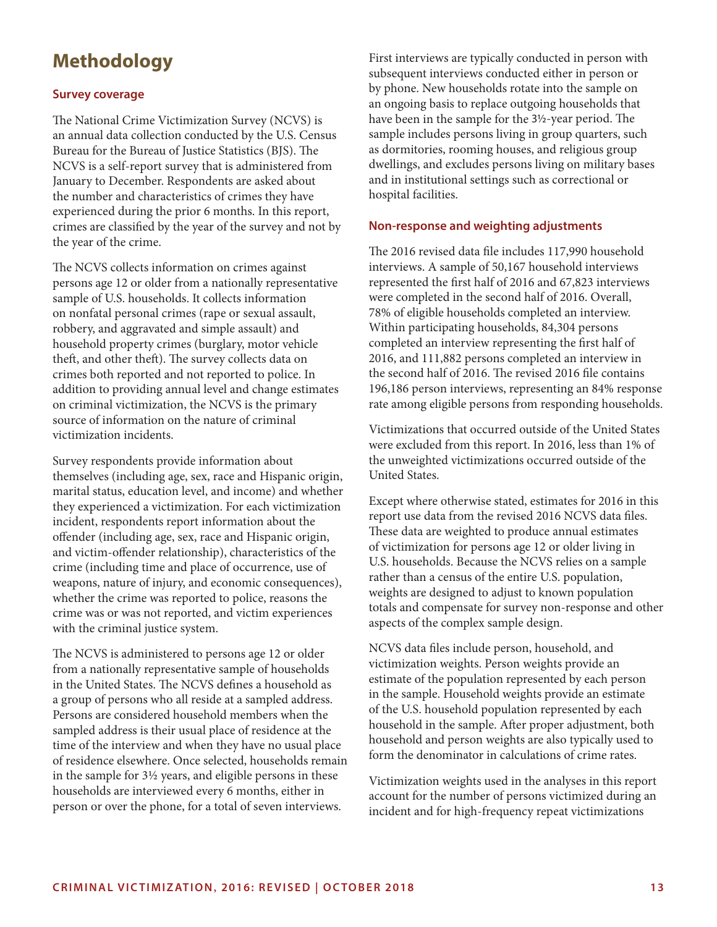## **Methodology**

#### **Survey coverage**

The National Crime Victimization Survey (NCVS) is an annual data collection conducted by the U.S. Census Bureau for the Bureau of Justice Statistics (BJS). The NCVS is a self-report survey that is administered from January to December. Respondents are asked about the number and characteristics of crimes they have experienced during the prior 6 months. In this report, crimes are classifed by the year of the survey and not by the year of the crime.

The NCVS collects information on crimes against persons age 12 or older from a nationally representative sample of U.S. households. It collects information on nonfatal personal crimes (rape or sexual assault, robbery, and aggravated and simple assault) and household property crimes (burglary, motor vehicle theft, and other theft). The survey collects data on crimes both reported and not reported to police. In addition to providing annual level and change estimates on criminal victimization, the NCVS is the primary source of information on the nature of criminal victimization incidents.

Survey respondents provide information about themselves (including age, sex, race and Hispanic origin, marital status, education level, and income) and whether they experienced a victimization. For each victimization incident, respondents report information about the ofender (including age, sex, race and Hispanic origin, and victim-ofender relationship), characteristics of the crime (including time and place of occurrence, use of weapons, nature of injury, and economic consequences), whether the crime was reported to police, reasons the crime was or was not reported, and victim experiences with the criminal justice system.

The NCVS is administered to persons age 12 or older from a nationally representative sample of households in the United States. The NCVS defines a household as a group of persons who all reside at a sampled address. Persons are considered household members when the sampled address is their usual place of residence at the time of the interview and when they have no usual place of residence elsewhere. Once selected, households remain in the sample for 3½ years, and eligible persons in these households are interviewed every 6 months, either in person or over the phone, for a total of seven interviews.

First interviews are typically conducted in person with subsequent interviews conducted either in person or by phone. New households rotate into the sample on an ongoing basis to replace outgoing households that have been in the sample for the 3½-year period. The sample includes persons living in group quarters, such as dormitories, rooming houses, and religious group dwellings, and excludes persons living on military bases and in institutional settings such as correctional or hospital facilities.

#### **Non-response and weighting adjustments**

The 2016 revised data file includes 117,990 household interviews. A sample of 50,167 household interviews represented the frst half of 2016 and 67,823 interviews were completed in the second half of 2016. Overall, 78% of eligible households completed an interview. Within participating households, 84,304 persons completed an interview representing the frst half of 2016, and 111,882 persons completed an interview in the second half of 2016. The revised 2016 file contains 196,186 person interviews, representing an 84% response rate among eligible persons from responding households.

Victimizations that occurred outside of the United States were excluded from this report. In 2016, less than 1% of the unweighted victimizations occurred outside of the United States.

Except where otherwise stated, estimates for 2016 in this report use data from the revised 2016 NCVS data fles. These data are weighted to produce annual estimates of victimization for persons age 12 or older living in U.S. households. Because the NCVS relies on a sample rather than a census of the entire U.S. population, weights are designed to adjust to known population totals and compensate for survey non-response and other aspects of the complex sample design.

NCVS data fles include person, household, and victimization weights. Person weights provide an estimate of the population represented by each person in the sample. Household weights provide an estimate of the U.S. household population represented by each household in the sample. Afer proper adjustment, both household and person weights are also typically used to form the denominator in calculations of crime rates.

Victimization weights used in the analyses in this report account for the number of persons victimized during an incident and for high-frequency repeat victimizations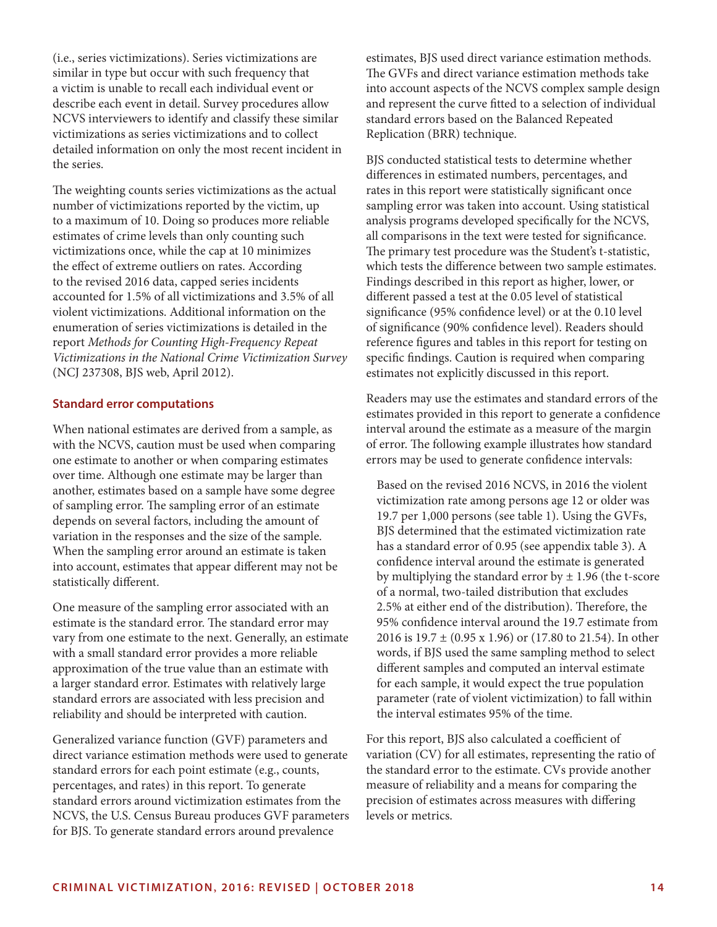(i.e., series victimizations). Series victimizations are similar in type but occur with such frequency that a victim is unable to recall each individual event or describe each event in detail. Survey procedures allow NCVS interviewers to identify and classify these similar victimizations as series victimizations and to collect detailed information on only the most recent incident in the series.

The weighting counts series victimizations as the actual number of victimizations reported by the victim, up to a maximum of 10. Doing so produces more reliable estimates of crime levels than only counting such victimizations once, while the cap at 10 minimizes the efect of extreme outliers on rates. According to the revised 2016 data, capped series incidents accounted for 1.5% of all victimizations and 3.5% of all violent victimizations. Additional information on the enumeration of series victimizations is detailed in the report *Methods for Counting High-Frequency Repeat Victimizations in the National Crime Victimization Survey*  (NCJ 237308, BJS web, April 2012).

#### **Standard error computations**

When national estimates are derived from a sample, as with the NCVS, caution must be used when comparing one estimate to another or when comparing estimates over time. Although one estimate may be larger than another, estimates based on a sample have some degree of sampling error. The sampling error of an estimate depends on several factors, including the amount of variation in the responses and the size of the sample. When the sampling error around an estimate is taken into account, estimates that appear diferent may not be statistically diferent.

One measure of the sampling error associated with an estimate is the standard error. The standard error may vary from one estimate to the next. Generally, an estimate with a small standard error provides a more reliable approximation of the true value than an estimate with a larger standard error. Estimates with relatively large standard errors are associated with less precision and reliability and should be interpreted with caution.

Generalized variance function (GVF) parameters and direct variance estimation methods were used to generate standard errors for each point estimate (e.g., counts, percentages, and rates) in this report. To generate standard errors around victimization estimates from the NCVS, the U.S. Census Bureau produces GVF parameters for BJS. To generate standard errors around prevalence

estimates, BJS used direct variance estimation methods. The GVFs and direct variance estimation methods take into account aspects of the NCVS complex sample design and represent the curve ftted to a selection of individual standard errors based on the Balanced Repeated Replication (BRR) technique.

BJS conducted statistical tests to determine whether diferences in estimated numbers, percentages, and rates in this report were statistically signifcant once sampling error was taken into account. Using statistical analysis programs developed specifcally for the NCVS, all comparisons in the text were tested for signifcance. The primary test procedure was the Student's t-statistic, which tests the diference between two sample estimates. Findings described in this report as higher, lower, or diferent passed a test at the 0.05 level of statistical signifcance (95% confdence level) or at the 0.10 level of signifcance (90% confdence level). Readers should reference fgures and tables in this report for testing on specifc fndings. Caution is required when comparing estimates not explicitly discussed in this report.

Readers may use the estimates and standard errors of the estimates provided in this report to generate a confdence interval around the estimate as a measure of the margin of error. The following example illustrates how standard errors may be used to generate confdence intervals:

Based on the revised 2016 NCVS, in 2016 the violent victimization rate among persons age 12 or older was 19.7 per 1,000 persons (see table 1). Using the GVFs, BJS determined that the estimated victimization rate has a standard error of 0.95 (see appendix table 3). A confdence interval around the estimate is generated by multiplying the standard error by  $\pm$  1.96 (the t-score of a normal, two-tailed distribution that excludes 2.5% at either end of the distribution). Therefore, the 95% confdence interval around the 19.7 estimate from 2016 is 19.7 ± (0.95 x 1.96) or (17.80 to 21.54). In other words, if BJS used the same sampling method to select diferent samples and computed an interval estimate for each sample, it would expect the true population parameter (rate of violent victimization) to fall within the interval estimates 95% of the time.

For this report, BJS also calculated a coefficient of variation (CV) for all estimates, representing the ratio of the standard error to the estimate. CVs provide another measure of reliability and a means for comparing the precision of estimates across measures with difering levels or metrics.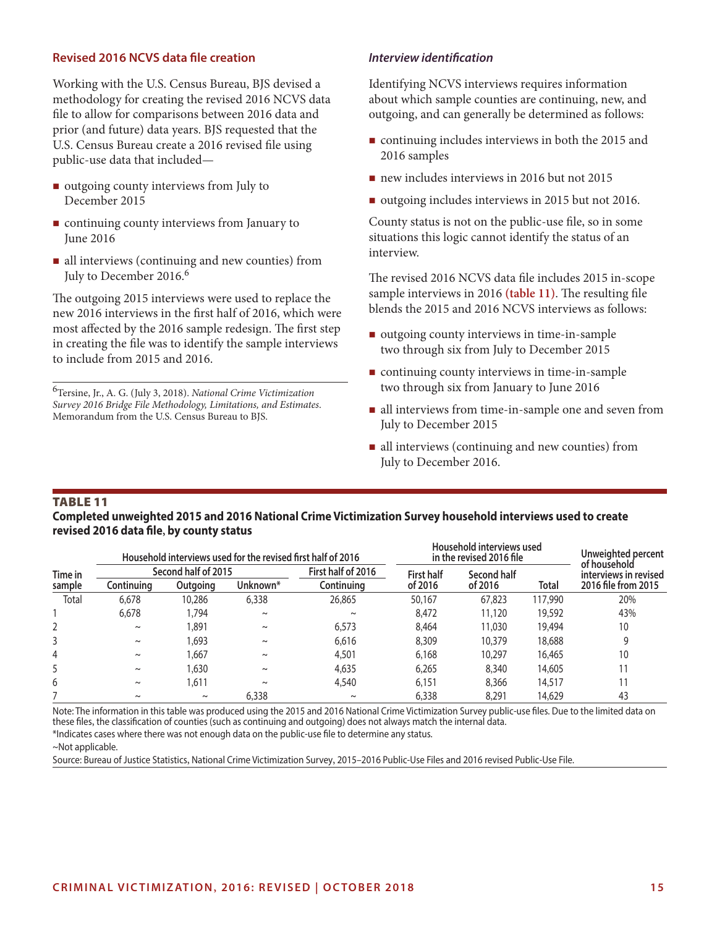#### **Revised 2016 NCVS data fle creation**

Working with the U.S. Census Bureau, BJS devised a methodology for creating the revised 2016 NCVS data fle to allow for comparisons between 2016 data and prior (and future) data years. BJS requested that the U.S. Census Bureau create a 2016 revised fle using public-use data that included—

- outgoing county interviews from July to December 2015
- $\blacksquare$  continuing county interviews from January to June 2016
- all interviews (continuing and new counties) from July to December 2016.<sup>6</sup>

The outgoing 2015 interviews were used to replace the new 2016 interviews in the frst half of 2016, which were most affected by the 2016 sample redesign. The first step in creating the fle was to identify the sample interviews to include from 2015 and 2016.

6Tersine, Jr., A. G. (July 3, 2018). *National Crime Victimization Survey 2016 Bridge File Methodology, Limitations, and Estimates*. Memorandum from the U.S. Census Bureau to BJS.

#### *Interview identifcation*

Identifying NCVS interviews requires information about which sample counties are continuing, new, and outgoing, and can generally be determined as follows:

- continuing includes interviews in both the 2015 and 2016 samples
- new includes interviews in 2016 but not 2015
- outgoing includes interviews in 2015 but not 2016.

County status is not on the public-use fle, so in some situations this logic cannot identify the status of an interview.

The revised 2016 NCVS data file includes 2015 in-scope sample interviews in 2016 (table 11). The resulting file blends the 2015 and 2016 NCVS interviews as follows:

- outgoing county interviews in time-in-sample two through six from July to December 2015
- **continuing county interviews in time-in-sample** two through six from January to June 2016
- all interviews from time-in-sample one and seven from July to December 2015
- all interviews (continuing and new counties) from July to December 2016.

#### TABLE 11

#### **Completed unweighted 2015 and 2016 National Crime Victimization Survey household interviews used to create revised 2016 data fle, by county status**

| Household interviews used for the revised first half of 2016 |            |                     |            |                    | Household interviews used<br>in the revised 2016 file |             |              | Unweighted percent<br>of household |
|--------------------------------------------------------------|------------|---------------------|------------|--------------------|-------------------------------------------------------|-------------|--------------|------------------------------------|
| Time in                                                      |            | Second half of 2015 |            | First half of 2016 | <b>First half</b>                                     | Second half |              | interviews in revised              |
| sample                                                       | Continuina | Outgoing            | Unknown*   | Continuina         | of 2016                                               | of 2016     | <b>Total</b> | 2016 file from 2015                |
| Total                                                        | 6,678      | 10,286              | 6,338      | 26,865             | 50,167                                                | 67,823      | 117,990      | 20%                                |
|                                                              | 6,678      | .794                | $\sim$     | $\sim$             | 8,472                                                 | 11,120      | 19,592       | 43%                                |
| 2                                                            | $\sim$     | ,891                | $\sim$     | 6,573              | 8,464                                                 | 11,030      | 19,494       | 10                                 |
|                                                              | $\sim$     | .693                | $\tilde{}$ | 6,616              | 8,309                                                 | 10,379      | 18,688       | 9                                  |
| 4                                                            | $\sim$     | .667                | $\sim$     | 4,501              | 6,168                                                 | 10,297      | 16,465       | 10                                 |
| 5                                                            | $\sim$     | .630                | $\sim$     | 4,635              | 6,265                                                 | 8,340       | 14,605       |                                    |
| 6                                                            | $\sim$     | 611, ا              | $\tilde{}$ | 4,540              | 6,151                                                 | 8,366       | 14,517       |                                    |
|                                                              | $\sim$     | $\sim$              | 6,338      | $\sim$             | 6,338                                                 | 8,291       | 14,629       | 43                                 |

Note: The information in this table was produced using the 2015 and 2016 National Crime Victimization Survey public-use fles. Due to the limited data on these fles, the classifcation of counties (such as continuing and outgoing) does not always match the internal data.

\*Indicates cases where there was not enough data on the public-use fle to determine any status.

~Not applicable.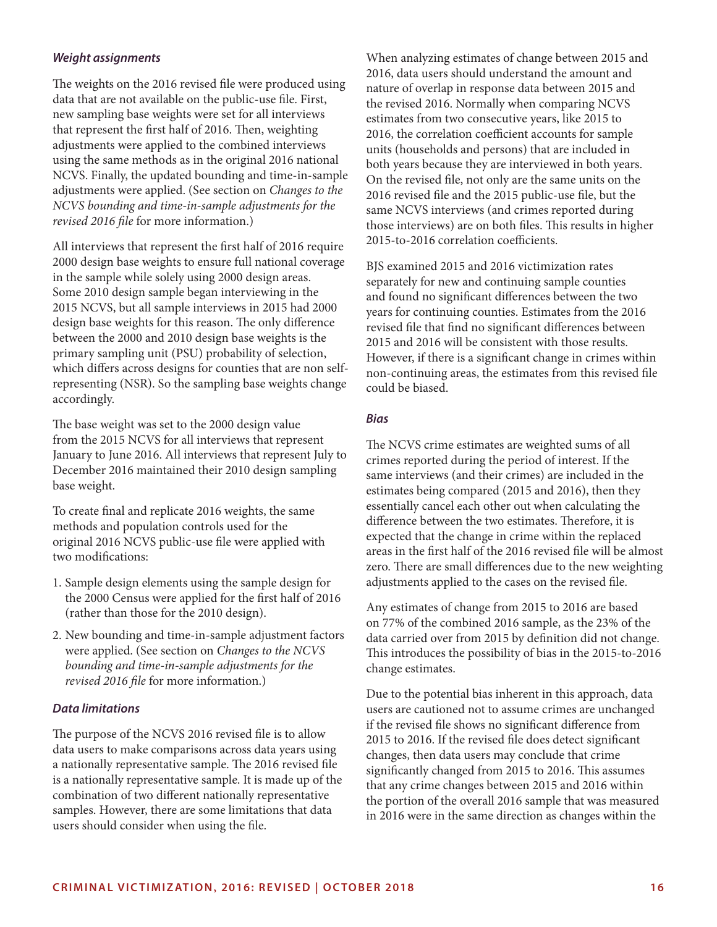#### *Weight assignments*

The weights on the 2016 revised file were produced using data that are not available on the public-use fle. First, new sampling base weights were set for all interviews that represent the first half of 2016. Then, weighting adjustments were applied to the combined interviews using the same methods as in the original 2016 national NCVS. Finally, the updated bounding and time-in-sample adjustments were applied. (See section on *Changes to the NCVS bounding and time-in-sample adjustments for the revised 2016 fle* for more information.)

All interviews that represent the frst half of 2016 require 2000 design base weights to ensure full national coverage in the sample while solely using 2000 design areas. Some 2010 design sample began interviewing in the 2015 NCVS, but all sample interviews in 2015 had 2000 design base weights for this reason. The only difference between the 2000 and 2010 design base weights is the primary sampling unit (PSU) probability of selection, which difers across designs for counties that are non selfrepresenting (NSR). So the sampling base weights change accordingly.

The base weight was set to the 2000 design value from the 2015 NCVS for all interviews that represent January to June 2016. All interviews that represent July to December 2016 maintained their 2010 design sampling base weight.

To create fnal and replicate 2016 weights, the same methods and population controls used for the original 2016 NCVS public-use fle were applied with two modifcations:

- 1. Sample design elements using the sample design for the 2000 Census were applied for the frst half of 2016 (rather than those for the 2010 design).
- 2. New bounding and time-in-sample adjustment factors were applied. (See section on *Changes to the NCVS bounding and time-in-sample adjustments for the revised 2016 fle* for more information.)

#### *Data limitations*

The purpose of the NCVS 2016 revised file is to allow data users to make comparisons across data years using a nationally representative sample. The 2016 revised file is a nationally representative sample. It is made up of the combination of two diferent nationally representative samples. However, there are some limitations that data users should consider when using the fle.

When analyzing estimates of change between 2015 and 2016, data users should understand the amount and nature of overlap in response data between 2015 and the revised 2016. Normally when comparing NCVS estimates from two consecutive years, like 2015 to 2016, the correlation coefficient accounts for sample units (households and persons) that are included in both years because they are interviewed in both years. On the revised fle, not only are the same units on the 2016 revised fle and the 2015 public-use fle, but the same NCVS interviews (and crimes reported during those interviews) are on both files. This results in higher 2015-to-2016 correlation coefficients.

BJS examined 2015 and 2016 victimization rates separately for new and continuing sample counties and found no signifcant diferences between the two years for continuing counties. Estimates from the 2016 revised fle that fnd no signifcant diferences between 2015 and 2016 will be consistent with those results. However, if there is a signifcant change in crimes within non-continuing areas, the estimates from this revised fle could be biased.

#### *Bias*

The NCVS crime estimates are weighted sums of all crimes reported during the period of interest. If the same interviews (and their crimes) are included in the estimates being compared (2015 and 2016), then they essentially cancel each other out when calculating the difference between the two estimates. Therefore, it is expected that the change in crime within the replaced areas in the frst half of the 2016 revised fle will be almost zero. There are small differences due to the new weighting adjustments applied to the cases on the revised fle.

Any estimates of change from 2015 to 2016 are based on 77% of the combined 2016 sample, as the 23% of the data carried over from 2015 by defnition did not change. This introduces the possibility of bias in the 2015-to-2016 change estimates.

Due to the potential bias inherent in this approach, data users are cautioned not to assume crimes are unchanged if the revised fle shows no signifcant diference from 2015 to 2016. If the revised fle does detect signifcant changes, then data users may conclude that crime significantly changed from 2015 to 2016. This assumes that any crime changes between 2015 and 2016 within the portion of the overall 2016 sample that was measured in 2016 were in the same direction as changes within the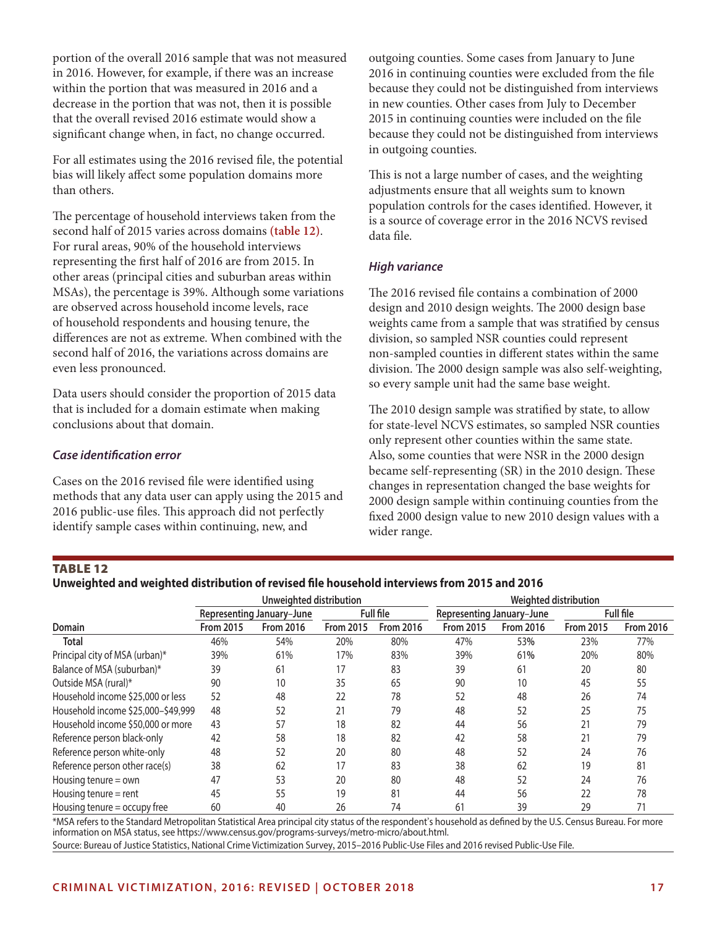portion of the overall 2016 sample that was not measured in 2016. However, for example, if there was an increase within the portion that was measured in 2016 and a decrease in the portion that was not, then it is possible that the overall revised 2016 estimate would show a signifcant change when, in fact, no change occurred.

For all estimates using the 2016 revised fle, the potential bias will likely afect some population domains more than others.

The percentage of household interviews taken from the second half of 2015 varies across domains **(table 12)**. For rural areas, 90% of the household interviews representing the frst half of 2016 are from 2015. In other areas (principal cities and suburban areas within MSAs), the percentage is 39%. Although some variations are observed across household income levels, race of household respondents and housing tenure, the diferences are not as extreme. When combined with the second half of 2016, the variations across domains are even less pronounced.

Data users should consider the proportion of 2015 data that is included for a domain estimate when making conclusions about that domain.

#### *Case identifcation error*

Cases on the 2016 revised fle were identifed using methods that any data user can apply using the 2015 and 2016 public-use files. This approach did not perfectly identify sample cases within continuing, new, and

outgoing counties. Some cases from January to June 2016 in continuing counties were excluded from the fle because they could not be distinguished from interviews in new counties. Other cases from July to December 2015 in continuing counties were included on the fle because they could not be distinguished from interviews in outgoing counties.

This is not a large number of cases, and the weighting adjustments ensure that all weights sum to known population controls for the cases identifed. However, it is a source of coverage error in the 2016 NCVS revised data fle.

#### *High variance*

The 2016 revised file contains a combination of 2000 design and 2010 design weights. The 2000 design base weights came from a sample that was stratifed by census division, so sampled NSR counties could represent non-sampled counties in diferent states within the same division. The 2000 design sample was also self-weighting, so every sample unit had the same base weight.

The 2010 design sample was stratified by state, to allow for state-level NCVS estimates, so sampled NSR counties only represent other counties within the same state. Also, some counties that were NSR in the 2000 design became self-representing (SR) in the 2010 design. These changes in representation changed the base weights for 2000 design sample within continuing counties from the fxed 2000 design value to new 2010 design values with a wider range.

#### TABLE 12

**Unweighted and weighted distribution of revised fle household interviews from 2015 and 2016** 

|                                    | Unweighted distribution |                           |                  |                  | <b>Weighted distribution</b> |                  |                  |                  |
|------------------------------------|-------------------------|---------------------------|------------------|------------------|------------------------------|------------------|------------------|------------------|
|                                    |                         | Representing January-June |                  | <b>Full file</b> | Representing January-June    |                  |                  | <b>Full file</b> |
| Domain                             | <b>From 2015</b>        | <b>From 2016</b>          | <b>From 2015</b> | <b>From 2016</b> | <b>From 2015</b>             | <b>From 2016</b> | <b>From 2015</b> | <b>From 2016</b> |
| <b>Total</b>                       | 46%                     | 54%                       | 20%              | 80%              | 47%                          | 53%              | 23%              | 77%              |
| Principal city of MSA (urban)*     | 39%                     | 61%                       | 17%              | 83%              | 39%                          | 61%              | 20%              | 80%              |
| Balance of MSA (suburban)*         | 39                      | 61                        | 17               | 83               | 39                           | 61               | 20               | 80               |
| Outside MSA (rural)*               | 90                      | 10                        | 35               | 65               | 90                           | 10               | 45               | 55               |
| Household income \$25,000 or less  | 52                      | 48                        | 22               | 78               | 52                           | 48               | 26               | 74               |
| Household income \$25,000-\$49,999 | 48                      | 52                        | 21               | 79               | 48                           | 52               | 25               | 75               |
| Household income \$50,000 or more  | 43                      | 57                        | 18               | 82               | 44                           | 56               | 21               | 79               |
| Reference person black-only        | 42                      | 58                        | 18               | 82               | 42                           | 58               | 21               | 79               |
| Reference person white-only        | 48                      | 52                        | 20               | 80               | 48                           | 52               | 24               | 76               |
| Reference person other race(s)     | 38                      | 62                        | 17               | 83               | 38                           | 62               | 19               | 81               |
| Housing tenure $=$ own             | 47                      | 53                        | 20               | 80               | 48                           | 52               | 24               | 76               |
| Housing tenure $=$ rent            | 45                      | 55                        | 19               | 81               | 44                           | 56               | 22               | 78               |
| Housing tenure $=$ occupy free     | 60                      | 40                        | 26               | 74               | 61                           | 39               | 29               |                  |

\*MSA refers to the Standard Metropolitan Statistical Area principal city status of the respondent's household as defned by the U.S. Census Bureau. For more information on MSA status, see [https://www.census.gov/programs-surveys/metro-micro/about.html.](https://www.census.gov/programs-surveys/metro-micro/about.html)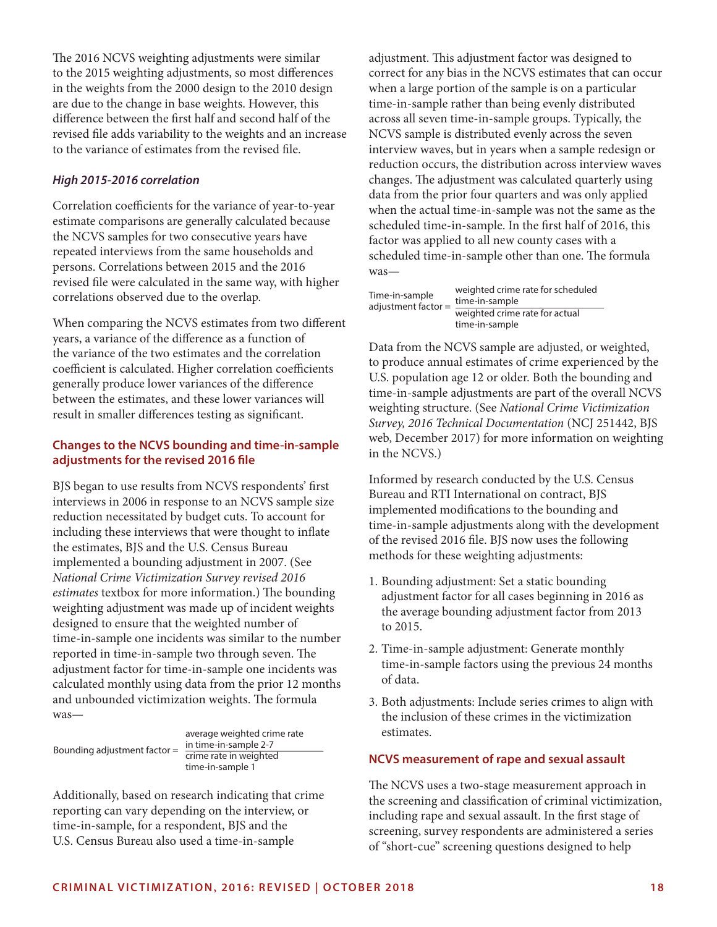The 2016 NCVS weighting adjustments were similar to the 2015 weighting adjustments, so most diferences in the weights from the 2000 design to the 2010 design are due to the change in base weights. However, this diference between the frst half and second half of the revised fle adds variability to the weights and an increase to the variance of estimates from the revised fle.

#### *High 2015-2016 correlation*

Correlation coefficients for the variance of year-to-year estimate comparisons are generally calculated because the NCVS samples for two consecutive years have repeated interviews from the same households and persons. Correlations between 2015 and the 2016 revised fle were calculated in the same way, with higher correlations observed due to the overlap.

When comparing the NCVS estimates from two diferent years, a variance of the diference as a function of the variance of the two estimates and the correlation coefficient is calculated. Higher correlation coefficients generally produce lower variances of the diference between the estimates, and these lower variances will result in smaller diferences testing as signifcant.

#### **Changes to the NCVS bounding and time-in-sample adjustments for the revised 2016 fle**

BJS began to use results from NCVS respondents' frst interviews in 2006 in response to an NCVS sample size reduction necessitated by budget cuts. To account for including these interviews that were thought to infate the estimates, BJS and the U.S. Census Bureau implemented a bounding adjustment in 2007. (See *National Crime Victimization Survey revised 2016 estimates* textbox for more information.) The bounding weighting adjustment was made up of incident weights designed to ensure that the weighted number of time-in-sample one incidents was similar to the number reported in time-in-sample two through seven. The adjustment factor for time-in-sample one incidents was calculated monthly using data from the prior 12 months and unbounded victimization weights. The formula was—

Bounding adjustment factor =  $\frac{\text{in time-in-sample 2-7}}{\text{crime rate in weighted}}$ 

average weighted crime rate time-in-sample 1

Additionally, based on research indicating that crime reporting can vary depending on the interview, or time-in-sample, for a respondent, BJS and the U.S. Census Bureau also used a time-in-sample

adjustment. This adjustment factor was designed to correct for any bias in the NCVS estimates that can occur when a large portion of the sample is on a particular time-in-sample rather than being evenly distributed across all seven time-in-sample groups. Typically, the NCVS sample is distributed evenly across the seven interview waves, but in years when a sample redesign or reduction occurs, the distribution across interview waves changes. The adjustment was calculated quarterly using data from the prior four quarters and was only applied when the actual time-in-sample was not the same as the scheduled time-in-sample. In the frst half of 2016, this factor was applied to all new county cases with a scheduled time-in-sample other than one. The formula was—

Time-in-sample weighted crime rate for scheduled<br>adjustment factor =  $\frac{\text{time-in-sample}}{\text{weighted crime rate for actual}}$ time-in-sample

Data from the NCVS sample are adjusted, or weighted, to produce annual estimates of crime experienced by the U.S. population age 12 or older. Both the bounding and time-in-sample adjustments are part of the overall NCVS weighting structure. (See *National Crime Victimization Survey, 2016 Technical Documentation* (NCJ 251442, BJS web, December 2017) for more information on weighting in the NCVS.)

Informed by research conducted by the U.S. Census Bureau and RTI International on contract, BJS implemented modifcations to the bounding and time-in-sample adjustments along with the development of the revised 2016 fle. BJS now uses the following methods for these weighting adjustments:

- 1. Bounding adjustment: Set a static bounding adjustment factor for all cases beginning in 2016 as the average bounding adjustment factor from 2013 to 2015.
- 2. Time-in-sample adjustment: Generate monthly time-in-sample factors using the previous 24 months of data.
- 3. Both adjustments: Include series crimes to align with the inclusion of these crimes in the victimization estimates.

#### **NCVS measurement of rape and sexual assault**

The NCVS uses a two-stage measurement approach in the screening and classifcation of criminal victimization, including rape and sexual assault. In the frst stage of screening, survey respondents are administered a series of "short-cue" screening questions designed to help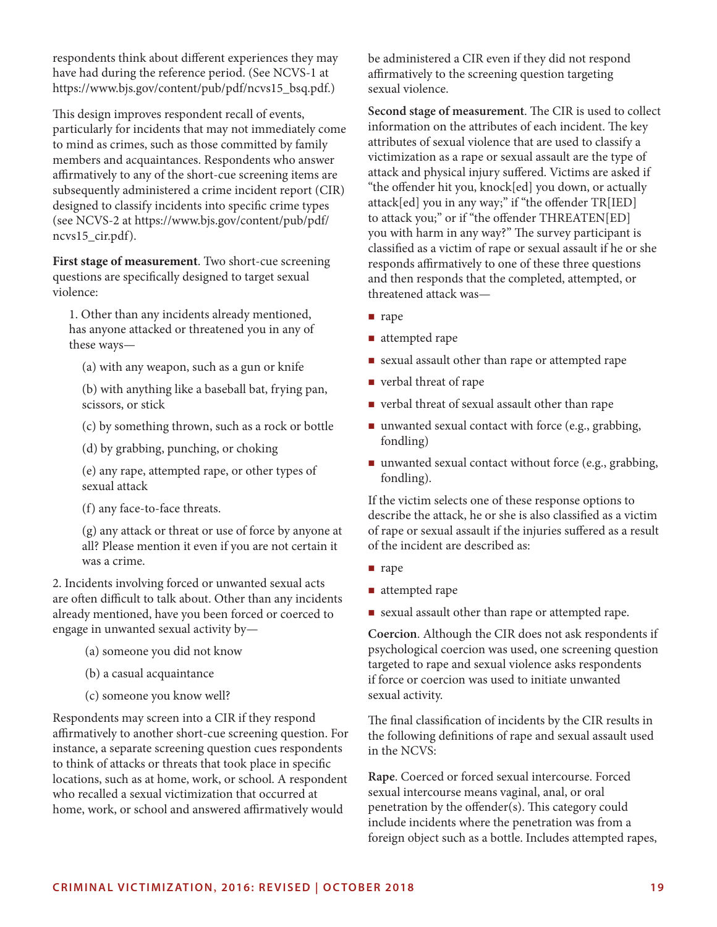respondents think about diferent experiences they may have had during the reference period. (See NCVS-1 at [https://www.bjs.gov/content/pub/pdf/ncvs15\\_bsq.pdf.](https://www.bjs.gov/content/pub/pdf/ncvs15_bsq.pdf))

This design improves respondent recall of events, particularly for incidents that may not immediately come to mind as crimes, such as those committed by family members and acquaintances. Respondents who answer afrmatively to any of the short-cue screening items are subsequently administered a crime incident report (CIR) designed to classify incidents into specifc crime types (see NCVS-2 at [https://www.bjs.gov/content/pub/pdf/](https://www.bjs.gov/content/pub/pdf) ncvs15\_cir.pdf).

**First stage of measurement**. Two short-cue screening questions are specifcally designed to target sexual violence:

1. Other than any incidents already mentioned, has anyone attacked or threatened you in any of these ways—

(a) with any weapon, such as a gun or knife

(b) with anything like a baseball bat, frying pan, scissors, or stick

(c) by something thrown, such as a rock or bottle

(d) by grabbing, punching, or choking

(e) any rape, attempted rape, or other types of sexual attack

(f) any face-to-face threats.

(g) any attack or threat or use of force by anyone at all? Please mention it even if you are not certain it was a crime.

2. Incidents involving forced or unwanted sexual acts are often difficult to talk about. Other than any incidents already mentioned, have you been forced or coerced to engage in unwanted sexual activity by—

- (a) someone you did not know
- (b) a casual acquaintance
- (c) someone you know well?

Respondents may screen into a CIR if they respond afrmatively to another short-cue screening question. For instance, a separate screening question cues respondents to think of attacks or threats that took place in specifc locations, such as at home, work, or school. A respondent who recalled a sexual victimization that occurred at home, work, or school and answered affirmatively would

be administered a CIR even if they did not respond afrmatively to the screening question targeting sexual violence.

**Second stage of measurement.** The CIR is used to collect information on the attributes of each incident. The key attributes of sexual violence that are used to classify a victimization as a rape or sexual assault are the type of attack and physical injury sufered. Victims are asked if "the ofender hit you, knock[ed] you down, or actually attack[ed] you in any way;" if "the offender TR[IED] to attack you;" or if "the ofender THREATEN[ED] you with harm in any way?" The survey participant is classifed as a victim of rape or sexual assault if he or she responds affirmatively to one of these three questions and then responds that the completed, attempted, or threatened attack was—

- nape
- attempted rape
- sexual assault other than rape or attempted rape
- verbal threat of rape
- verbal threat of sexual assault other than rape
- $\blacksquare$  unwanted sexual contact with force (e.g., grabbing, fondling)
- unwanted sexual contact without force (e.g., grabbing, fondling).

If the victim selects one of these response options to describe the attack, he or she is also classifed as a victim of rape or sexual assault if the injuries sufered as a result of the incident are described as:

- nape
- attempted rape
- sexual assault other than rape or attempted rape.

**Coercion**. Although the CIR does not ask respondents if psychological coercion was used, one screening question targeted to rape and sexual violence asks respondents if force or coercion was used to initiate unwanted sexual activity.

The final classification of incidents by the CIR results in the following defnitions of rape and sexual assault used in the NCVS:

**Rape**. Coerced or forced sexual intercourse. Forced sexual intercourse means vaginal, anal, or oral penetration by the offender(s). This category could include incidents where the penetration was from a foreign object such as a bottle. Includes attempted rapes,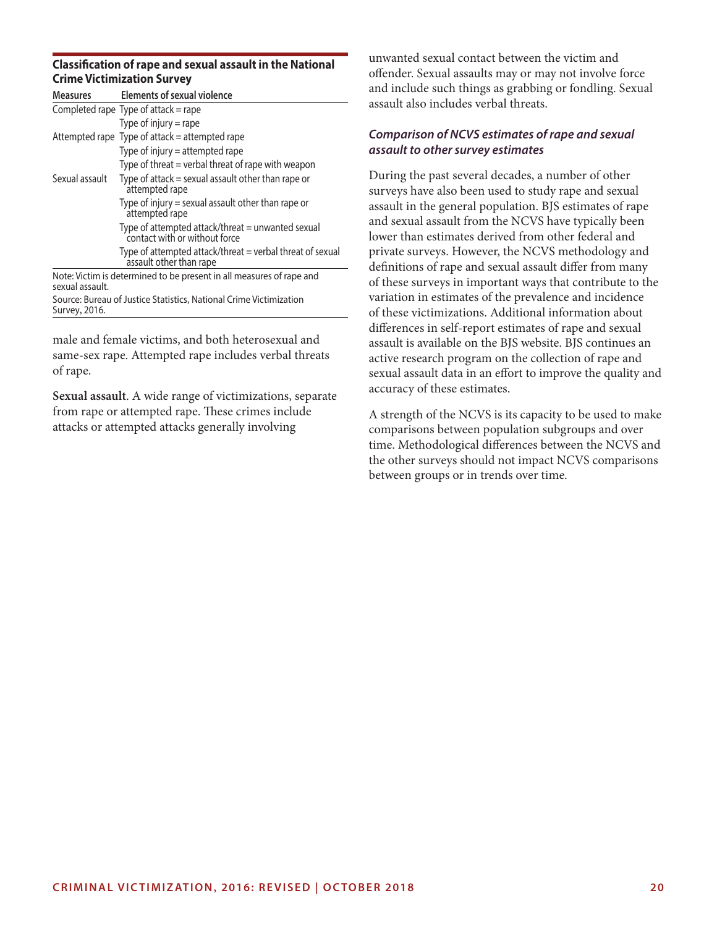#### **Classifcation of rape and sexual assault in the National Crime Victimization Survey**

| <b>Measures</b> | <b>Elements of sexual violence</b>                                                   |
|-----------------|--------------------------------------------------------------------------------------|
|                 | Completed rape Type of attack $=$ rape                                               |
|                 | Type of injury $=$ rape                                                              |
|                 | Attempted rape $\overline{I}$ ype of attack = attempted rape                         |
|                 | Type of injury $=$ attempted rape                                                    |
|                 | Type of threat = verbal threat of rape with weapon                                   |
| Sexual assault  | Type of attack $=$ sexual assault other than rape or<br>attempted rape               |
|                 | Type of injury $=$ sexual assault other than rape or<br>attempted rape               |
|                 | Type of attempted attack/threat = unwanted sexual<br>contact with or without force   |
|                 | Type of attempted attack/threat = verbal threat of sexual<br>assault other than rape |
| sexual assault. | Note: Victim is determined to be present in all measures of rape and                 |
| Survey, 2016.   | Source: Bureau of Justice Statistics, National Crime Victimization                   |

male and female victims, and both heterosexual and same-sex rape. Attempted rape includes verbal threats of rape.

**Sexual assault**. A wide range of victimizations, separate from rape or attempted rape. These crimes include attacks or attempted attacks generally involving

unwanted sexual contact between the victim and ofender. Sexual assaults may or may not involve force and include such things as grabbing or fondling. Sexual assault also includes verbal threats.

#### *Comparison of NCVS estimates of rape and sexual assault to other survey estimates*

During the past several decades, a number of other surveys have also been used to study rape and sexual assault in the general population. BJS estimates of rape and sexual assault from the NCVS have typically been lower than estimates derived from other federal and private surveys. However, the NCVS methodology and defnitions of rape and sexual assault difer from many of these surveys in important ways that contribute to the variation in estimates of the prevalence and incidence of these victimizations. Additional information about diferences in self-report estimates of rape and sexual assault is available on the BJS website. BJS continues an active research program on the collection of rape and sexual assault data in an effort to improve the quality and accuracy of these estimates.

A strength of the NCVS is its capacity to be used to make comparisons between population subgroups and over time. Methodological diferences between the NCVS and the other surveys should not impact NCVS comparisons between groups or in trends over time.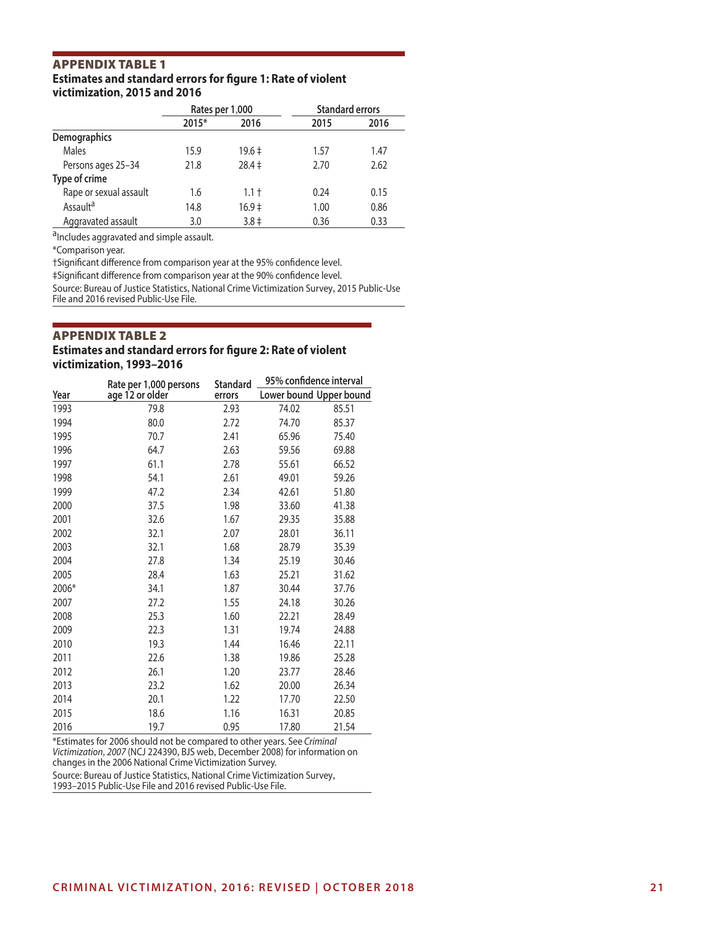#### APPENDIX TABLE 1 **Estimates and standard errors for fgure 1: Rate of violent victimization, 2015 and 2016**

|                        | Rates per 1,000 |            | <b>Standard errors</b> |      |  |
|------------------------|-----------------|------------|------------------------|------|--|
|                        | 2015*           | 2016       | 2015                   | 2016 |  |
| Demographics           |                 |            |                        |      |  |
| Males                  | 15.9            | $19.6 \pm$ | 1.57                   | 1.47 |  |
| Persons ages 25-34     | 21.8            | $28.4 \pm$ | 2.70                   | 2.62 |  |
| Type of crime          |                 |            |                        |      |  |
| Rape or sexual assault | 1.6             | $1.1 +$    | 0.24                   | 0.15 |  |
| Assault <sup>a</sup>   | 14.8            | $16.9 \pm$ | 1.00                   | 0.86 |  |
| Aggravated assault     | 3.0             | $3.8 \pm$  | 0.36                   | 0.33 |  |

a<sub>lncludes aggravated and simple assault.</sub>

\*Comparison year.

†Signifcant diference from comparison year at the 95% confdence level.

‡Signifcant diference from comparison year at the 90% confdence level.

Source: Bureau of Justice Statistics, National Crime Victimization Survey, 2015 Public-Use File and 2016 revised Public-Use File.

#### APPENDIX TABLE 2 **Estimates and standard errors for fgure 2: Rate of violent victimization, 1993–2016**

|       | Rate per 1,000 persons | <b>Standard</b> | 95% confidence interval |                         |  |
|-------|------------------------|-----------------|-------------------------|-------------------------|--|
| Year  | age 12 or older        | errors          |                         | Lower bound Upper bound |  |
| 1993  | 79.8                   | 2.93            | 74.02                   | 85.51                   |  |
| 1994  | 80.0                   | 2.72            | 74.70                   | 85.37                   |  |
| 1995  | 70.7                   | 2.41            | 65.96                   | 75.40                   |  |
| 1996  | 64.7                   | 2.63            | 59.56                   | 69.88                   |  |
| 1997  | 61.1                   | 2.78            | 55.61                   | 66.52                   |  |
| 1998  | 54.1                   | 2.61            | 49.01                   | 59.26                   |  |
| 1999  | 47.2                   | 2.34            | 42.61                   | 51.80                   |  |
| 2000  | 37.5                   | 1.98            | 33.60                   | 41.38                   |  |
| 2001  | 32.6                   | 1.67            | 29.35                   | 35.88                   |  |
| 2002  | 32.1                   | 2.07            | 28.01                   | 36.11                   |  |
| 2003  | 32.1                   | 1.68            | 28.79                   | 35.39                   |  |
| 2004  | 27.8                   | 1.34            | 25.19                   | 30.46                   |  |
| 2005  | 28.4                   | 1.63            | 25.21                   | 31.62                   |  |
| 2006* | 34.1                   | 1.87            | 30.44                   | 37.76                   |  |
| 2007  | 27.2                   | 1.55            | 24.18                   | 30.26                   |  |
| 2008  | 25.3                   | 1.60            | 22.21                   | 28.49                   |  |
| 2009  | 22.3                   | 1.31            | 19.74                   | 24.88                   |  |
| 2010  | 19.3                   | 1.44            | 16.46                   | 22.11                   |  |
| 2011  | 22.6                   | 1.38            | 19.86                   | 25.28                   |  |
| 2012  | 26.1                   | 1.20            | 23.77                   | 28.46                   |  |
| 2013  | 23.2                   | 1.62            | 20.00                   | 26.34                   |  |
| 2014  | 20.1                   | 1.22            | 17.70                   | 22.50                   |  |
| 2015  | 18.6                   | 1.16            | 16.31                   | 20.85                   |  |
| 2016  | 19.7                   | 0.95            | 17.80                   | 21.54                   |  |

\*Estimates for 2006 should not be compared to other years. See *Criminal Victimization, 2007* (NCJ 224390, BJS web, December 2008) for information on changes in the 2006 National Crime Victimization Survey.

Source: Bureau of Justice Statistics, National Crime Victimization Survey,

1993–2015 Public-Use File and 2016 revised Public-Use File.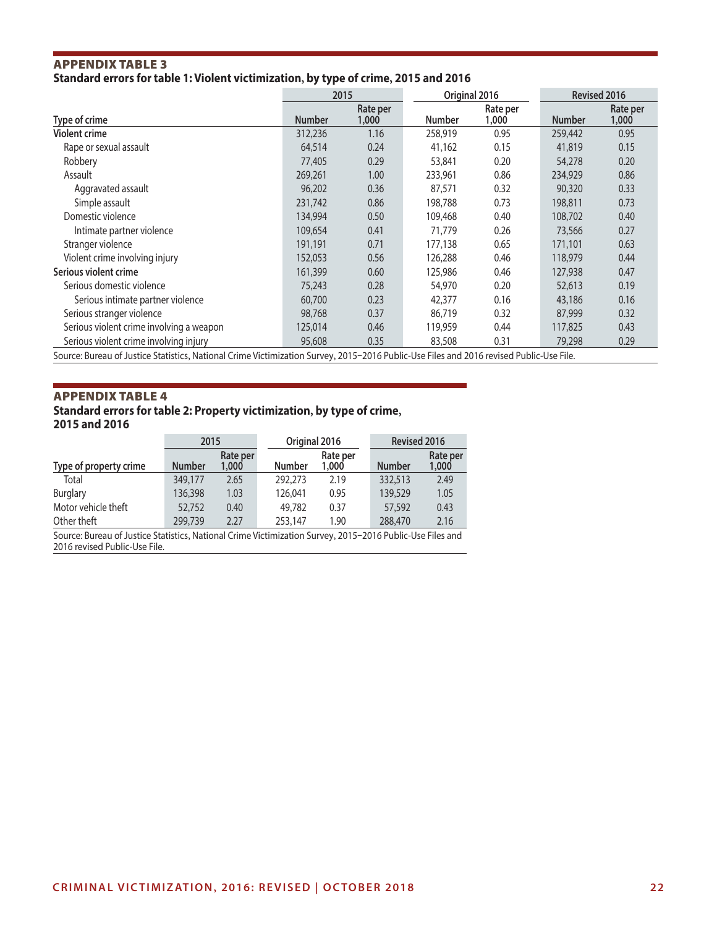#### APPENDIX TABLE 3 **Standard errors for table 1: Violent victimization, by type of crime, 2015 and 2016**

|                                                                                                                                         | Original 2016<br>2015 |                   |               | Revised 2016      |               |                   |
|-----------------------------------------------------------------------------------------------------------------------------------------|-----------------------|-------------------|---------------|-------------------|---------------|-------------------|
| Type of crime                                                                                                                           | <b>Number</b>         | Rate per<br>1,000 | <b>Number</b> | Rate per<br>1,000 | <b>Number</b> | Rate per<br>1,000 |
| <b>Violent crime</b>                                                                                                                    | 312,236               | 1.16              | 258,919       | 0.95              | 259,442       | 0.95              |
| Rape or sexual assault                                                                                                                  | 64,514                | 0.24              | 41,162        | 0.15              | 41,819        | 0.15              |
| Robbery                                                                                                                                 | 77,405                | 0.29              | 53,841        | 0.20              | 54,278        | 0.20              |
| Assault                                                                                                                                 | 269,261               | 1.00              | 233,961       | 0.86              | 234,929       | 0.86              |
| Aggravated assault                                                                                                                      | 96,202                | 0.36              | 87,571        | 0.32              | 90,320        | 0.33              |
| Simple assault                                                                                                                          | 231,742               | 0.86              | 198,788       | 0.73              | 198,811       | 0.73              |
| Domestic violence                                                                                                                       | 134,994               | 0.50              | 109,468       | 0.40              | 108,702       | 0.40              |
| Intimate partner violence                                                                                                               | 109,654               | 0.41              | 71,779        | 0.26              | 73,566        | 0.27              |
| Stranger violence                                                                                                                       | 191,191               | 0.71              | 177,138       | 0.65              | 171,101       | 0.63              |
| Violent crime involving injury                                                                                                          | 152,053               | 0.56              | 126,288       | 0.46              | 118,979       | 0.44              |
| Serious violent crime                                                                                                                   | 161,399               | 0.60              | 125,986       | 0.46              | 127,938       | 0.47              |
| Serious domestic violence                                                                                                               | 75,243                | 0.28              | 54,970        | 0.20              | 52,613        | 0.19              |
| Serious intimate partner violence                                                                                                       | 60,700                | 0.23              | 42,377        | 0.16              | 43,186        | 0.16              |
| Serious stranger violence                                                                                                               | 98,768                | 0.37              | 86,719        | 0.32              | 87,999        | 0.32              |
| Serious violent crime involving a weapon                                                                                                | 125,014               | 0.46              | 119,959       | 0.44              | 117,825       | 0.43              |
| Serious violent crime involving injury                                                                                                  | 95,608                | 0.35              | 83,508        | 0.31              | 79,298        | 0.29              |
| Source: Bureau of Justice Statistics, National Crime Victimization Survey, 2015-2016 Public-Use Files and 2016 revised Public-Use File. |                       |                   |               |                   |               |                   |

#### APPENDIX TABLE 4

#### **Standard errors for table 2: Property victimization, by type of crime, 2015 and 2016**

|                        | 2015          |                   | Original 2016 |                   | <b>Revised 2016</b> |                   |
|------------------------|---------------|-------------------|---------------|-------------------|---------------------|-------------------|
| Type of property crime | <b>Number</b> | Rate per<br>1,000 | <b>Number</b> | Rate per<br>1,000 | <b>Number</b>       | Rate per<br>1,000 |
| Total                  | 349,177       | 2.65              | 292,273       | 2.19              | 332,513             | 2.49              |
| Burglary               | 136,398       | 1.03              | 126,041       | 0.95              | 139,529             | 1.05              |
| Motor vehicle theft    | 52,752        | 0.40              | 49,782        | 0.37              | 57,592              | 0.43              |
| Other theft            | 299,739       | 2.27              | 253,147       | 1.90              | 288,470             | 2.16              |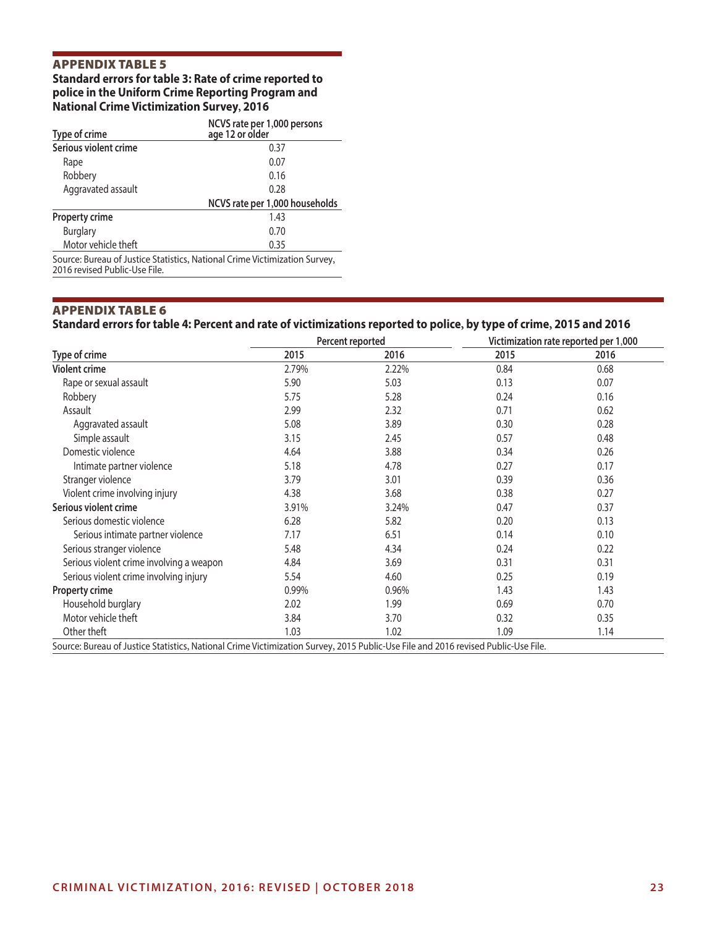#### **Standard errors for table 3: Rate of crime reported to police in the Uniform Crime Reporting Program and National Crime Victimization Survey, 2016**

| Type of crime         | NCVS rate per 1,000 persons<br>age 12 or older                             |
|-----------------------|----------------------------------------------------------------------------|
| Serious violent crime | 0.37                                                                       |
| Rape                  | 0.07                                                                       |
| Robbery               | 0.16                                                                       |
| Aggravated assault    | 0.28                                                                       |
|                       | NCVS rate per 1,000 households                                             |
| <b>Property crime</b> | 1.43                                                                       |
| <b>Burglary</b>       | 0.70                                                                       |
| Motor vehicle theft   | 0.35                                                                       |
|                       | Source: Bureau of Justice Statistics, National Crime Victimization Survey, |

2016 revised Public-Use File.

#### APPENDIX TABLE 6

#### **Standard errors for table 4: Percent and rate of victimizations reported to police, by type of crime, 2015 and 2016**

|       |       | Victimization rate reported per 1,000 |      |  |
|-------|-------|---------------------------------------|------|--|
| 2015  | 2016  | 2015                                  | 2016 |  |
| 2.79% | 2.22% | 0.84                                  | 0.68 |  |
| 5.90  | 5.03  | 0.13                                  | 0.07 |  |
| 5.75  | 5.28  | 0.24                                  | 0.16 |  |
| 2.99  | 2.32  | 0.71                                  | 0.62 |  |
| 5.08  | 3.89  | 0.30                                  | 0.28 |  |
| 3.15  | 2.45  | 0.57                                  | 0.48 |  |
| 4.64  | 3.88  | 0.34                                  | 0.26 |  |
| 5.18  | 4.78  | 0.27                                  | 0.17 |  |
| 3.79  | 3.01  | 0.39                                  | 0.36 |  |
| 4.38  | 3.68  | 0.38                                  | 0.27 |  |
| 3.91% | 3.24% | 0.47                                  | 0.37 |  |
| 6.28  | 5.82  | 0.20                                  | 0.13 |  |
| 7.17  | 6.51  | 0.14                                  | 0.10 |  |
| 5.48  | 4.34  | 0.24                                  | 0.22 |  |
| 4.84  | 3.69  | 0.31                                  | 0.31 |  |
| 5.54  | 4.60  | 0.25                                  | 0.19 |  |
| 0.99% | 0.96% | 1.43                                  | 1.43 |  |
| 2.02  | 1.99  | 0.69                                  | 0.70 |  |
| 3.84  | 3.70  | 0.32                                  | 0.35 |  |
| 1.03  | 1.02  | 1.09                                  | 1.14 |  |
|       |       | Percent reported                      |      |  |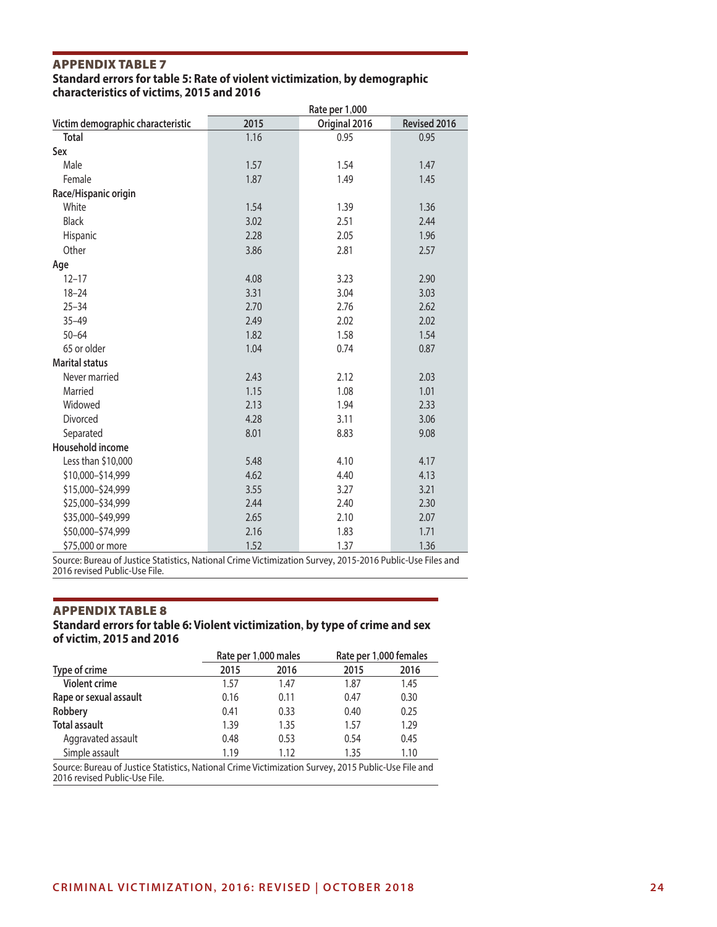#### **Standard errors for table 5: Rate of violent victimization, by demographic characteristics of victims, 2015 and 2016**

|                                   | Rate per 1,000 |               |              |  |  |  |  |
|-----------------------------------|----------------|---------------|--------------|--|--|--|--|
| Victim demographic characteristic | 2015           | Original 2016 | Revised 2016 |  |  |  |  |
| <b>Total</b>                      | 1.16           | 0.95          | 0.95         |  |  |  |  |
| Sex                               |                |               |              |  |  |  |  |
| Male                              | 1.57           | 1.54          | 1.47         |  |  |  |  |
| Female                            | 1.87           | 1.49          | 1.45         |  |  |  |  |
| Race/Hispanic origin              |                |               |              |  |  |  |  |
| White                             | 1.54           | 1.39          | 1.36         |  |  |  |  |
| <b>Black</b>                      | 3.02           | 2.51          | 2.44         |  |  |  |  |
| Hispanic                          | 2.28           | 2.05          | 1.96         |  |  |  |  |
| Other                             | 3.86           | 2.81          | 2.57         |  |  |  |  |
| Age                               |                |               |              |  |  |  |  |
| $12 - 17$                         | 4.08           | 3.23          | 2.90         |  |  |  |  |
| $18 - 24$                         | 3.31           | 3.04          | 3.03         |  |  |  |  |
| $25 - 34$                         | 2.70           | 2.76          | 2.62         |  |  |  |  |
| $35 - 49$                         | 2.49           | 2.02          | 2.02         |  |  |  |  |
| $50 - 64$                         | 1.82           | 1.58          | 1.54         |  |  |  |  |
| 65 or older                       | 1.04           | 0.74          | 0.87         |  |  |  |  |
| <b>Marital status</b>             |                |               |              |  |  |  |  |
| Never married                     | 2.43           | 2.12          | 2.03         |  |  |  |  |
| Married                           | 1.15           | 1.08          | 1.01         |  |  |  |  |
| Widowed                           | 2.13           | 1.94          | 2.33         |  |  |  |  |
| Divorced                          | 4.28           | 3.11          | 3.06         |  |  |  |  |
| Separated                         | 8.01           | 8.83          | 9.08         |  |  |  |  |
| Household income                  |                |               |              |  |  |  |  |
| Less than \$10,000                | 5.48           | 4.10          | 4.17         |  |  |  |  |
| \$10,000-\$14,999                 | 4.62           | 4.40          | 4.13         |  |  |  |  |
| \$15,000-\$24,999                 | 3.55           | 3.27          | 3.21         |  |  |  |  |
| \$25,000-\$34,999                 | 2.44           | 2.40          | 2.30         |  |  |  |  |
| \$35,000-\$49,999                 | 2.65           | 2.10          | 2.07         |  |  |  |  |
| \$50,000-\$74,999                 | 2.16           | 1.83          | 1.71         |  |  |  |  |
| \$75,000 or more                  | 1.52           | 1.37          | 1.36         |  |  |  |  |

Source: Bureau of Justice Statistics, National Crime Victimization Survey, 2015-2016 Public-Use Files and 2016 revised Public-Use File.

#### APPENDIX TABLE 8

#### **Standard errors for table 6: Violent victimization, by type of crime and sex of victim, 2015 and 2016**

|                        |      | Rate per 1,000 males | Rate per 1,000 females |      |
|------------------------|------|----------------------|------------------------|------|
| Type of crime          | 2015 | 2016                 | 2015                   | 2016 |
| <b>Violent crime</b>   | 1.57 | 1.47                 | 1.87                   | 1.45 |
| Rape or sexual assault | 0.16 | 0.11                 | 0.47                   | 0.30 |
| Robbery                | 0.41 | 0.33                 | 0.40                   | 0.25 |
| <b>Total assault</b>   | 1.39 | 1.35                 | 1.57                   | 1.29 |
| Aggravated assault     | 0.48 | 0.53                 | 0.54                   | 0.45 |
| Simple assault         | 1.19 | 1.12                 | 1.35                   | 1.10 |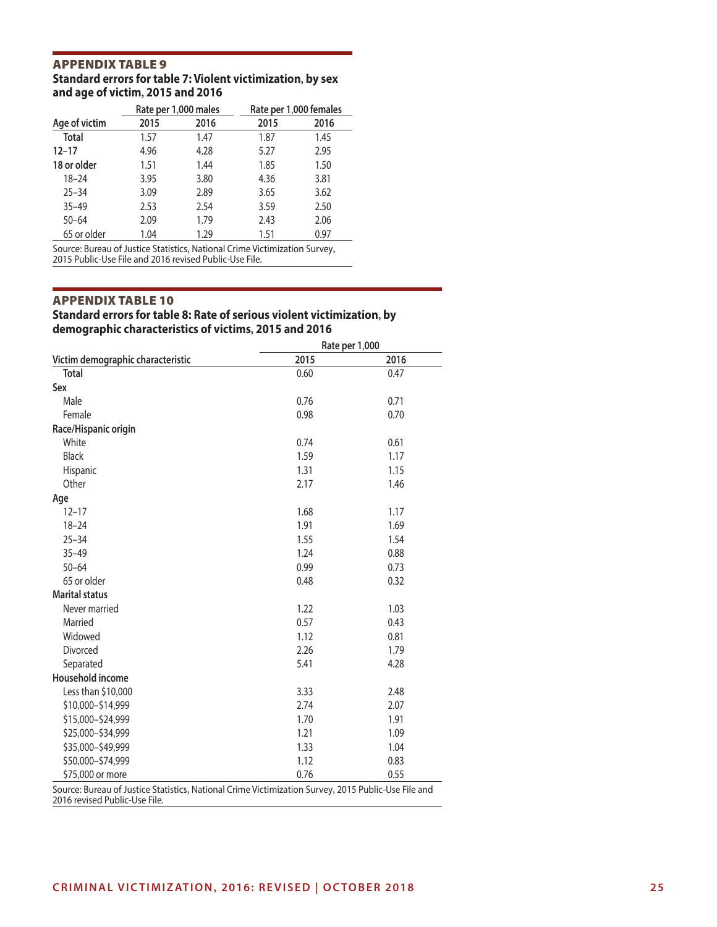#### **Standard errors for table 7: Violent victimization, by sex and age of victim, 2015 and 2016**

|               | Rate per 1,000 males |      |      | Rate per 1,000 females |
|---------------|----------------------|------|------|------------------------|
| Age of victim | 2015                 | 2016 | 2015 | 2016                   |
| <b>Total</b>  | 1.57                 | 1.47 | 1.87 | 1.45                   |
| $12 - 17$     | 4.96                 | 4.28 | 5.27 | 2.95                   |
| 18 or older   | 1.51                 | 1.44 | 1.85 | 1.50                   |
| $18 - 24$     | 3.95                 | 3.80 | 4.36 | 3.81                   |
| $25 - 34$     | 3.09                 | 2.89 | 3.65 | 3.62                   |
| $35 - 49$     | 2.53                 | 2.54 | 3.59 | 2.50                   |
| $50 - 64$     | 2.09                 | 1.79 | 2.43 | 2.06                   |
| 65 or older   | 1.04                 | 1.29 | 1.51 | 0.97                   |

Source: Bureau of Justice Statistics, National Crime Victimization Survey, 2015 Public-Use File and 2016 revised Public-Use File.

#### APPENDIX TABLE 10

#### **Standard errors for table 8: Rate of serious violent victimization, by demographic characteristics of victims, 2015 and 2016**

|                                                                                                     |      | Rate per 1,000 |
|-----------------------------------------------------------------------------------------------------|------|----------------|
| Victim demographic characteristic                                                                   | 2015 | 2016           |
| <b>Total</b>                                                                                        | 0.60 | 0.47           |
| Sex                                                                                                 |      |                |
| Male                                                                                                | 0.76 | 0.71           |
| Female                                                                                              | 0.98 | 0.70           |
| Race/Hispanic origin                                                                                |      |                |
| White                                                                                               | 0.74 | 0.61           |
| <b>Black</b>                                                                                        | 1.59 | 1.17           |
| Hispanic                                                                                            | 1.31 | 1.15           |
| Other                                                                                               | 2.17 | 1.46           |
| Age                                                                                                 |      |                |
| $12 - 17$                                                                                           | 1.68 | 1.17           |
| $18 - 24$                                                                                           | 1.91 | 1.69           |
| $25 - 34$                                                                                           | 1.55 | 1.54           |
| $35 - 49$                                                                                           | 1.24 | 0.88           |
| $50 - 64$                                                                                           | 0.99 | 0.73           |
| 65 or older                                                                                         | 0.48 | 0.32           |
| <b>Marital status</b>                                                                               |      |                |
| Never married                                                                                       | 1.22 | 1.03           |
| Married                                                                                             | 0.57 | 0.43           |
| Widowed                                                                                             | 1.12 | 0.81           |
| Divorced                                                                                            | 2.26 | 1.79           |
| Separated                                                                                           | 5.41 | 4.28           |
| Household income                                                                                    |      |                |
| Less than \$10,000                                                                                  | 3.33 | 2.48           |
| \$10,000-\$14,999                                                                                   | 2.74 | 2.07           |
| \$15,000-\$24,999                                                                                   | 1.70 | 1.91           |
| \$25,000-\$34,999                                                                                   | 1.21 | 1.09           |
| \$35,000-\$49,999                                                                                   | 1.33 | 1.04           |
| \$50,000-\$74,999                                                                                   | 1.12 | 0.83           |
| \$75,000 or more                                                                                    | 0.76 | 0.55           |
| Source: Bureau of Justice Statistics, National Crime Victimization Survey, 2015 Public-Use File and |      |                |

2016 revised Public-Use File.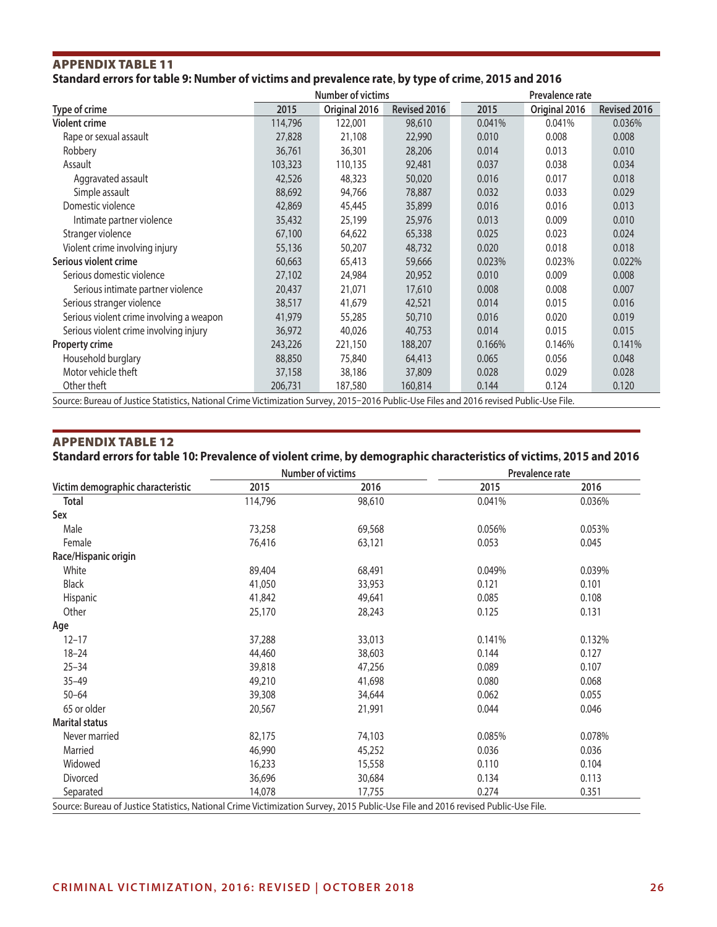#### **Standard errors for table 9: Number of victims and prevalence rate, by type of crime, 2015 and 2016**

|                                                                                                                                         |         | Number of victims |              | Prevalence rate |               |              |  |
|-----------------------------------------------------------------------------------------------------------------------------------------|---------|-------------------|--------------|-----------------|---------------|--------------|--|
| Type of crime                                                                                                                           | 2015    | Original 2016     | Revised 2016 | 2015            | Original 2016 | Revised 2016 |  |
| <b>Violent crime</b>                                                                                                                    | 114,796 | 122,001           | 98,610       | 0.041%          | 0.041%        | 0.036%       |  |
| Rape or sexual assault                                                                                                                  | 27,828  | 21,108            | 22,990       | 0.010           | 0.008         | 0.008        |  |
| Robbery                                                                                                                                 | 36,761  | 36,301            | 28,206       | 0.014           | 0.013         | 0.010        |  |
| Assault                                                                                                                                 | 103,323 | 110,135           | 92,481       | 0.037           | 0.038         | 0.034        |  |
| Aggravated assault                                                                                                                      | 42,526  | 48,323            | 50,020       | 0.016           | 0.017         | 0.018        |  |
| Simple assault                                                                                                                          | 88,692  | 94,766            | 78,887       | 0.032           | 0.033         | 0.029        |  |
| Domestic violence                                                                                                                       | 42,869  | 45,445            | 35,899       | 0.016           | 0.016         | 0.013        |  |
| Intimate partner violence                                                                                                               | 35,432  | 25,199            | 25,976       | 0.013           | 0.009         | 0.010        |  |
| Stranger violence                                                                                                                       | 67,100  | 64,622            | 65,338       | 0.025           | 0.023         | 0.024        |  |
| Violent crime involving injury                                                                                                          | 55,136  | 50,207            | 48,732       | 0.020           | 0.018         | 0.018        |  |
| Serious violent crime                                                                                                                   | 60,663  | 65,413            | 59,666       | 0.023%          | 0.023%        | 0.022%       |  |
| Serious domestic violence                                                                                                               | 27,102  | 24,984            | 20,952       | 0.010           | 0.009         | 0.008        |  |
| Serious intimate partner violence                                                                                                       | 20,437  | 21,071            | 17,610       | 0.008           | 0.008         | 0.007        |  |
| Serious stranger violence                                                                                                               | 38,517  | 41,679            | 42,521       | 0.014           | 0.015         | 0.016        |  |
| Serious violent crime involving a weapon                                                                                                | 41,979  | 55,285            | 50,710       | 0.016           | 0.020         | 0.019        |  |
| Serious violent crime involving injury                                                                                                  | 36,972  | 40,026            | 40,753       | 0.014           | 0.015         | 0.015        |  |
| <b>Property crime</b>                                                                                                                   | 243,226 | 221,150           | 188,207      | 0.166%          | 0.146%        | 0.141%       |  |
| Household burglary                                                                                                                      | 88,850  | 75,840            | 64,413       | 0.065           | 0.056         | 0.048        |  |
| Motor vehicle theft                                                                                                                     | 37,158  | 38,186            | 37,809       | 0.028           | 0.029         | 0.028        |  |
| Other theft                                                                                                                             | 206,731 | 187,580           | 160,814      | 0.144           | 0.124         | 0.120        |  |
| Source: Bureau of Justice Statistics, National Crime Victimization Survey, 2015-2016 Public-Use Files and 2016 revised Public-Use File. |         |                   |              |                 |               |              |  |

#### APPENDIX TABLE 12

#### **Standard errors for table 10: Prevalence of violent crime, by demographic characteristics of victims, 2015 and 2016**

|                                   |         | <b>Number of victims</b> | Prevalence rate |        |  |
|-----------------------------------|---------|--------------------------|-----------------|--------|--|
| Victim demographic characteristic | 2015    | 2016                     | 2015            | 2016   |  |
| Total                             | 114,796 | 98,610                   | 0.041%          | 0.036% |  |
| Sex                               |         |                          |                 |        |  |
| Male                              | 73,258  | 69,568                   | 0.056%          | 0.053% |  |
| Female                            | 76,416  | 63,121                   | 0.053           | 0.045  |  |
| Race/Hispanic origin              |         |                          |                 |        |  |
| White                             | 89,404  | 68,491                   | 0.049%          | 0.039% |  |
| <b>Black</b>                      | 41,050  | 33,953                   | 0.121           | 0.101  |  |
| Hispanic                          | 41,842  | 49,641                   | 0.085           | 0.108  |  |
| Other                             | 25,170  | 28,243                   | 0.125           | 0.131  |  |
| Age                               |         |                          |                 |        |  |
| $12 - 17$                         | 37,288  | 33,013                   | 0.141%          | 0.132% |  |
| $18 - 24$                         | 44,460  | 38,603                   | 0.144           | 0.127  |  |
| $25 - 34$                         | 39,818  | 47,256                   | 0.089           | 0.107  |  |
| $35 - 49$                         | 49,210  | 41,698                   | 0.080           | 0.068  |  |
| $50 - 64$                         | 39,308  | 34,644                   | 0.062           | 0.055  |  |
| 65 or older                       | 20,567  | 21,991                   | 0.044           | 0.046  |  |
| <b>Marital status</b>             |         |                          |                 |        |  |
| Never married                     | 82,175  | 74,103                   | 0.085%          | 0.078% |  |
| Married                           | 46,990  | 45,252                   | 0.036           | 0.036  |  |
| Widowed                           | 16,233  | 15,558                   | 0.110           | 0.104  |  |
| Divorced                          | 36,696  | 30,684                   | 0.134           | 0.113  |  |
| Separated                         | 14,078  | 17,755                   | 0.274           | 0.351  |  |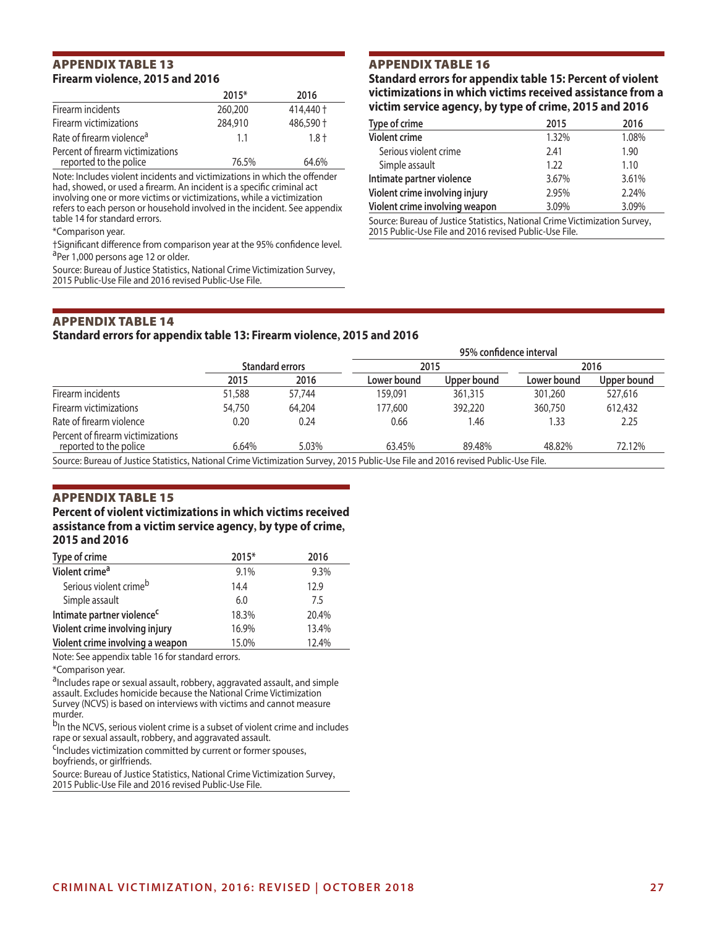#### APPENDIX TABLE 13 **Firearm violence, 2015 and 2016**

|                                                             | $2015*$ | 2016      |
|-------------------------------------------------------------|---------|-----------|
| Firearm incidents                                           | 260,200 | 414,440 + |
| Firearm victimizations                                      | 284,910 | 486,590 + |
| Rate of firearm violence <sup>a</sup>                       | 11      | $1.8 +$   |
| Percent of firearm victimizations<br>reported to the police | 76.5%   | 64.6%     |

Note: Includes violent incidents and victimizations in which the offender had, showed, or used a frearm. An incident is a specifc criminal act involving one or more victims or victimizations, while a victimization refers to each person or household involved in the incident. See appendix table 14 for standard errors.

\*Comparison year.

†Significant difference from comparison year at the 95% confidence level.<br><sup>a</sup>Per 1,000 persons age 12 or older.

Source: Bureau of Justice Statistics, National Crime Victimization Survey, 2015 Public-Use File and 2016 revised Public-Use File.

#### APPENDIX TABLE 16

**Standard errors for appendix table 15: Percent of violent victimizations in which victims received assistance from a victim service agency, by type of crime, 2015 and 2016** 

| Type of crime                  | 2015  | 2016  |
|--------------------------------|-------|-------|
| <b>Violent crime</b>           | 1.32% | 1.08% |
| Serious violent crime          | 2.41  | 1.90  |
| Simple assault                 | 1.22  | 1.10  |
| Intimate partner violence      | 3.67% | 3.61% |
| Violent crime involving injury | 2.95% | 2.24% |
| Violent crime involving weapon | 3.09% | 3.09% |
|                                |       |       |

Source: Bureau of Justice Statistics, National Crime Victimization Survey, 2015 Public-Use File and 2016 revised Public-Use File.

#### APPENDIX TABLE 14

#### **Standard errors for appendix table 13: Firearm violence, 2015 and 2016**

|                                                                                                                                   |                        |        |             | 95% confidence interval |             |             |  |
|-----------------------------------------------------------------------------------------------------------------------------------|------------------------|--------|-------------|-------------------------|-------------|-------------|--|
|                                                                                                                                   | <b>Standard errors</b> |        |             | 2015                    |             | 2016        |  |
|                                                                                                                                   | 2015                   | 2016   | Lower bound | Upper bound             | Lower bound | Upper bound |  |
| Firearm incidents                                                                                                                 | 51,588                 | 57,744 | 159.091     | 361,315                 | 301,260     | 527,616     |  |
| Firearm victimizations                                                                                                            | 54,750                 | 64,204 | 177,600     | 392,220                 | 360,750     | 612,432     |  |
| Rate of firearm violence                                                                                                          | 0.20                   | 0.24   | 0.66        | 1.46                    | 1.33        | 2.25        |  |
| Percent of firearm victimizations<br>reported to the police                                                                       | 6.64%                  | 5.03%  | 63.45%      | 89.48%                  | 48.82%      | 72.12%      |  |
| Source: Bureau of Justice Statistics, National Crime Victimization Survey, 2015 Public-Use File and 2016 revised Public-Use File. |                        |        |             |                         |             |             |  |

#### APPENDIX TABLE 15

#### **Percent of violent victimizations in which victims received assistance from a victim service agency, by type of crime, 2015 and 2016**

| Type of crime                          | 2015* | 2016  |
|----------------------------------------|-------|-------|
| Violent crime <sup>a</sup>             | 9.1%  | 9.3%  |
| Serious violent crime <sup>b</sup>     | 14.4  | 12.9  |
| Simple assault                         | 6.0   | 7.5   |
| Intimate partner violence <sup>c</sup> | 18.3% | 20.4% |
| Violent crime involving injury         | 16.9% | 13.4% |
| Violent crime involving a weapon       | 15.0% | 12.4% |

Note: See appendix table 16 for standard errors.

\*Comparison year.

aIncludes rape or sexual assault, robbery, aggravated assault, and simple assault. Excludes homicide because the National Crime Victimization Survey (NCVS) is based on interviews with victims and cannot measure murder.

b<sub>In</sub> the NCVS, serious violent crime is a subset of violent crime and includes<br>rape or sexual assault, robbery, and aggravated assault.

<sup>C</sup>Includes victimization committed by current or former spouses, boyfriends, or girlfriends.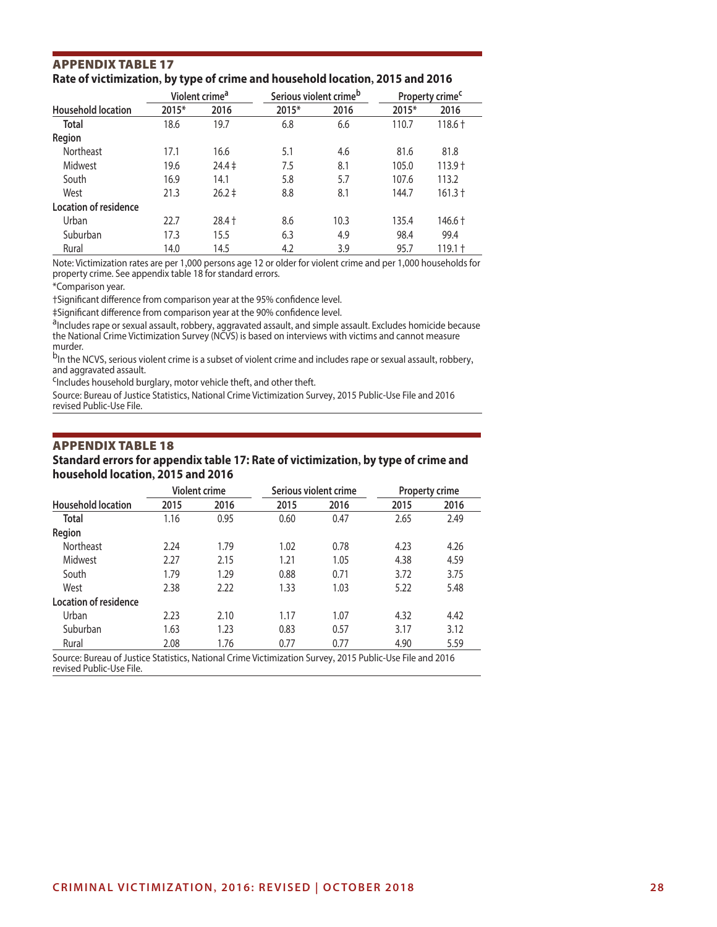#### APPENDIX TABLE 17 **Rate of victimization, by type of crime and household location, 2015 and 2016**

|                           |       | Violent crime <sup>a</sup> | Serious violent crime <sup>b</sup> |      | Property crime <sup>c</sup> |           |
|---------------------------|-------|----------------------------|------------------------------------|------|-----------------------------|-----------|
| <b>Household location</b> | 2015* | 2016                       | $2015*$                            | 2016 | 2015*                       | 2016      |
| Total                     | 18.6  | 19.7                       | 6.8                                | 6.6  | 110.7                       | $118.6 +$ |
| Region                    |       |                            |                                    |      |                             |           |
| Northeast                 | 17.1  | 16.6                       | 5.1                                | 4.6  | 81.6                        | 81.8      |
| Midwest                   | 19.6  | $24.4 \pm$                 | 7.5                                | 8.1  | 105.0                       | $113.9 +$ |
| South                     | 16.9  | 14.1                       | 5.8                                | 5.7  | 107.6                       | 113.2     |
| West                      | 21.3  | $26.2 \pm$                 | 8.8                                | 8.1  | 144.7                       | $161.3 +$ |
| Location of residence     |       |                            |                                    |      |                             |           |
| Urban                     | 22.7  | $28.4 +$                   | 8.6                                | 10.3 | 135.4                       | $146.6 +$ |
| Suburban                  | 17.3  | 15.5                       | 6.3                                | 4.9  | 98.4                        | 99.4      |
| Rural                     | 14.0  | 14.5                       | 4.2                                | 3.9  | 95.7                        | $119.1 +$ |

Note: Victimization rates are per 1,000 persons age 12 or older for violent crime and per 1,000 households for property crime. See appendix table 18 for standard errors.

\*Comparison year.

†Signifcant diference from comparison year at the 95% confdence level.

‡Significant difference from comparison year at the 90% confidence level.<br><sup>a</sup>Includes rape or sexual assault, robbery, aggravated assault, and simple assault. Excludes homicide because the National Crime Victimization Survey (NCVS) is based on interviews with victims and cannot measure

murder.<br><sup>b</sup>In the NCVS, serious violent crime is a subset of violent crime and includes rape or sexual assault, robbery, and aggravated assault.

 $c<sub>1</sub>$  consehold burglary, motor vehicle theft, and other theft.

Source: Bureau of Justice Statistics, National Crime Victimization Survey, 2015 Public-Use File and 2016 revised Public-Use File.

#### APPENDIX TABLE 18

**Standard errors for appendix table 17: Rate of victimization, by type of crime and household location, 2015 and 2016** 

|                           |      | <b>Violent crime</b> | Serious violent crime |      | <b>Property crime</b> |      |
|---------------------------|------|----------------------|-----------------------|------|-----------------------|------|
| <b>Household location</b> | 2015 | 2016                 | 2015                  | 2016 | 2015                  | 2016 |
| Total                     | 1.16 | 0.95                 | 0.60                  | 0.47 | 2.65                  | 2.49 |
| Region                    |      |                      |                       |      |                       |      |
| <b>Northeast</b>          | 2.24 | 1.79                 | 1.02                  | 0.78 | 4.23                  | 4.26 |
| Midwest                   | 2.27 | 2.15                 | 1.21                  | 1.05 | 4.38                  | 4.59 |
| South                     | 1.79 | 1.29                 | 0.88                  | 0.71 | 3.72                  | 3.75 |
| West                      | 2.38 | 2.22                 | 1.33                  | 1.03 | 5.22                  | 5.48 |
| Location of residence     |      |                      |                       |      |                       |      |
| Urban                     | 2.23 | 2.10                 | 1.17                  | 1.07 | 4.32                  | 4.42 |
| Suburban                  | 1.63 | 1.23                 | 0.83                  | 0.57 | 3.17                  | 3.12 |
| Rural                     | 2.08 | 1.76                 | 0.77                  | 0.77 | 4.90                  | 5.59 |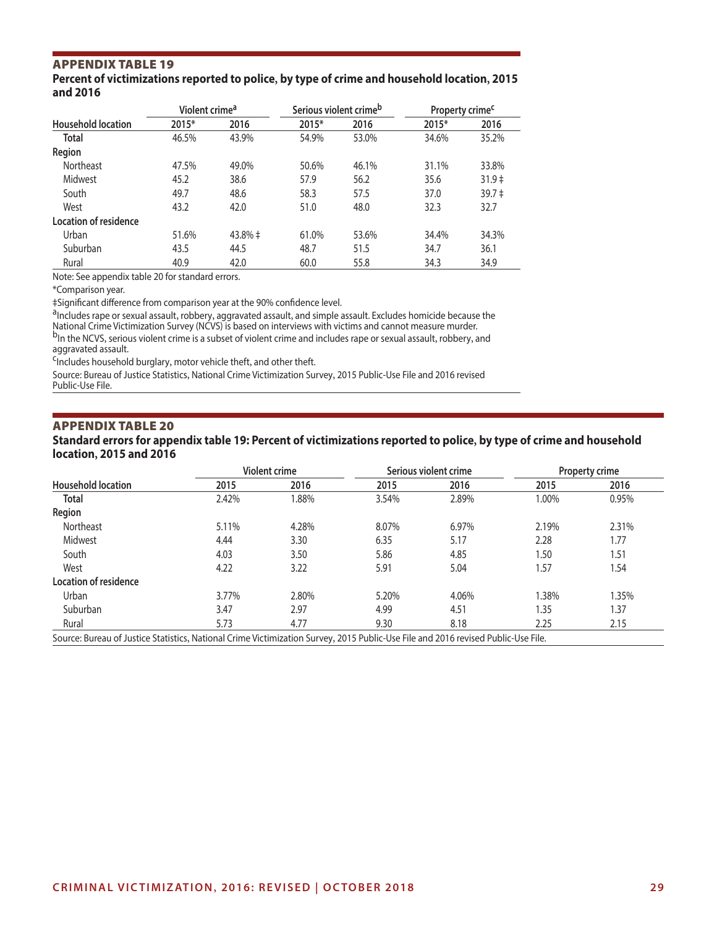#### **Percent of victimizations reported to police, by type of crime and household location, 2015 and 2016**

|                           | Violent crime <sup>a</sup> |              | Serious violent crime <sup>b</sup> |       | Property crime <sup>c</sup> |            |
|---------------------------|----------------------------|--------------|------------------------------------|-------|-----------------------------|------------|
| <b>Household location</b> | 2015*                      | 2016         | 2015*                              | 2016  | 2015*                       | 2016       |
| <b>Total</b>              | 46.5%                      | 43.9%        | 54.9%                              | 53.0% | 34.6%                       | 35.2%      |
| Region                    |                            |              |                                    |       |                             |            |
| <b>Northeast</b>          | 47.5%                      | 49.0%        | 50.6%                              | 46.1% | 31.1%                       | 33.8%      |
| Midwest                   | 45.2                       | 38.6         | 57.9                               | 56.2  | 35.6                        | $31.9 \pm$ |
| South                     | 49.7                       | 48.6         | 58.3                               | 57.5  | 37.0                        | $39.7 \pm$ |
| West                      | 43.2                       | 42.0         | 51.0                               | 48.0  | 32.3                        | 32.7       |
| Location of residence     |                            |              |                                    |       |                             |            |
| Urban                     | 51.6%                      | $43.8\% \pm$ | 61.0%                              | 53.6% | 34.4%                       | 34.3%      |
| Suburban                  | 43.5                       | 44.5         | 48.7                               | 51.5  | 34.7                        | 36.1       |
| Rural                     | 40.9                       | 42.0         | 60.0                               | 55.8  | 34.3                        | 34.9       |

Note: See appendix table 20 for standard errors.

\*Comparison year.

‡Significant difference from comparison year at the 90% confidence level.<br><sup>a</sup>Includes rape or sexual assault, robbery, aggravated assault, and simple assault. Excludes homicide because the National Crime Victimization Survey (NCVS) is based on interviews with victims and cannot measure murder.

b<sub>In the NCVS, serious violent crime is a subset of violent crime and includes rape or sexual assault, robbery, and</sub> aggravated assault.

cincludes household burglary, motor vehicle theft, and other theft.

Source: Bureau of Justice Statistics, National Crime Victimization Survey, 2015 Public-Use File and 2016 revised Public-Use File.

#### APPENDIX TABLE 20

#### **Standard errors for appendix table 19: Percent of victimizations reported to police, by type of crime and household location, 2015 and 2016**

|       | <b>Violent crime</b> |       | Serious violent crime |       | <b>Property crime</b> |  |
|-------|----------------------|-------|-----------------------|-------|-----------------------|--|
| 2015  | 2016                 | 2015  | 2016                  | 2015  | 2016                  |  |
| 2.42% | 1.88%                | 3.54% | 2.89%                 | 1.00% | 0.95%                 |  |
|       |                      |       |                       |       |                       |  |
| 5.11% | 4.28%                | 8.07% | 6.97%                 | 2.19% | 2.31%                 |  |
| 4.44  | 3.30                 | 6.35  | 5.17                  | 2.28  | 1.77                  |  |
| 4.03  | 3.50                 | 5.86  | 4.85                  | 1.50  | 1.51                  |  |
| 4.22  | 3.22                 | 5.91  | 5.04                  | 1.57  | 1.54                  |  |
|       |                      |       |                       |       |                       |  |
| 3.77% | 2.80%                | 5.20% | 4.06%                 | 1.38% | 1.35%                 |  |
| 3.47  | 2.97                 | 4.99  | 4.51                  | 1.35  | 1.37                  |  |
| 5.73  | 4.77                 | 9.30  | 8.18                  | 2.25  | 2.15                  |  |
|       |                      |       |                       |       |                       |  |